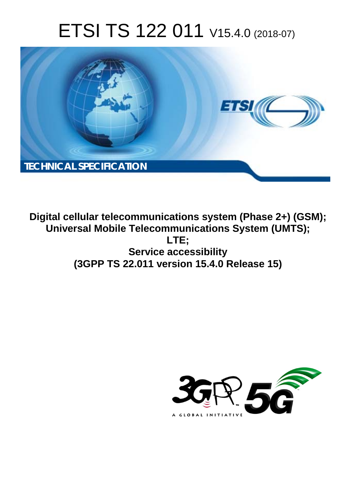# ETSI TS 122 011 V15.4.0 (2018-07)



**Digital cellular telecommunications system (Phase 2+) (GSM); Universal Mobile Telecommunications System (UMTS); LTE; Service accessibility (3GPP TS 22.011 version 15.4.0 Release 15)** 

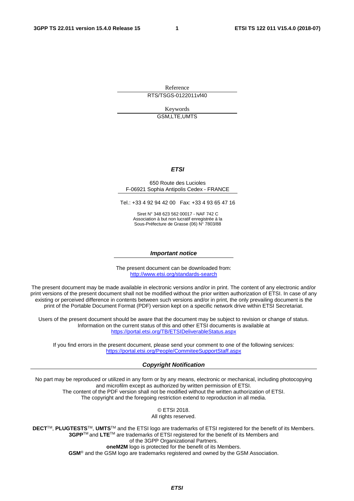Reference

RTS/TSGS-0122011vf40

Keywords GSM,LTE,UMTS

#### *ETSI*

#### 650 Route des Lucioles F-06921 Sophia Antipolis Cedex - FRANCE

Tel.: +33 4 92 94 42 00 Fax: +33 4 93 65 47 16

Siret N° 348 623 562 00017 - NAF 742 C Association à but non lucratif enregistrée à la Sous-Préfecture de Grasse (06) N° 7803/88

#### *Important notice*

The present document can be downloaded from: <http://www.etsi.org/standards-search>

The present document may be made available in electronic versions and/or in print. The content of any electronic and/or print versions of the present document shall not be modified without the prior written authorization of ETSI. In case of any existing or perceived difference in contents between such versions and/or in print, the only prevailing document is the print of the Portable Document Format (PDF) version kept on a specific network drive within ETSI Secretariat.

Users of the present document should be aware that the document may be subject to revision or change of status. Information on the current status of this and other ETSI documents is available at <https://portal.etsi.org/TB/ETSIDeliverableStatus.aspx>

If you find errors in the present document, please send your comment to one of the following services: <https://portal.etsi.org/People/CommiteeSupportStaff.aspx>

#### *Copyright Notification*

No part may be reproduced or utilized in any form or by any means, electronic or mechanical, including photocopying and microfilm except as authorized by written permission of ETSI. The content of the PDF version shall not be modified without the written authorization of ETSI. The copyright and the foregoing restriction extend to reproduction in all media.

> © ETSI 2018. All rights reserved.

**DECT**TM, **PLUGTESTS**TM, **UMTS**TM and the ETSI logo are trademarks of ETSI registered for the benefit of its Members. **3GPP**TM and **LTE**TM are trademarks of ETSI registered for the benefit of its Members and of the 3GPP Organizational Partners. **oneM2M** logo is protected for the benefit of its Members.

**GSM**® and the GSM logo are trademarks registered and owned by the GSM Association.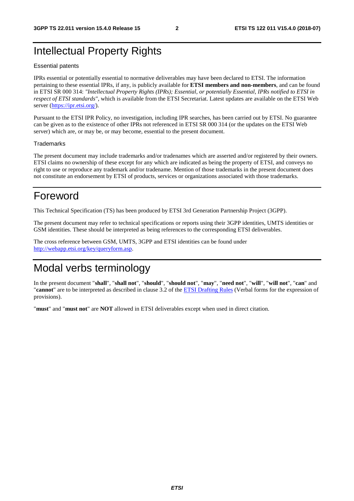## Intellectual Property Rights

#### Essential patents

IPRs essential or potentially essential to normative deliverables may have been declared to ETSI. The information pertaining to these essential IPRs, if any, is publicly available for **ETSI members and non-members**, and can be found in ETSI SR 000 314: *"Intellectual Property Rights (IPRs); Essential, or potentially Essential, IPRs notified to ETSI in respect of ETSI standards"*, which is available from the ETSI Secretariat. Latest updates are available on the ETSI Web server ([https://ipr.etsi.org/\)](https://ipr.etsi.org/).

Pursuant to the ETSI IPR Policy, no investigation, including IPR searches, has been carried out by ETSI. No guarantee can be given as to the existence of other IPRs not referenced in ETSI SR 000 314 (or the updates on the ETSI Web server) which are, or may be, or may become, essential to the present document.

#### **Trademarks**

The present document may include trademarks and/or tradenames which are asserted and/or registered by their owners. ETSI claims no ownership of these except for any which are indicated as being the property of ETSI, and conveys no right to use or reproduce any trademark and/or tradename. Mention of those trademarks in the present document does not constitute an endorsement by ETSI of products, services or organizations associated with those trademarks.

## Foreword

This Technical Specification (TS) has been produced by ETSI 3rd Generation Partnership Project (3GPP).

The present document may refer to technical specifications or reports using their 3GPP identities, UMTS identities or GSM identities. These should be interpreted as being references to the corresponding ETSI deliverables.

The cross reference between GSM, UMTS, 3GPP and ETSI identities can be found under [http://webapp.etsi.org/key/queryform.asp.](http://webapp.etsi.org/key/queryform.asp)

## Modal verbs terminology

In the present document "**shall**", "**shall not**", "**should**", "**should not**", "**may**", "**need not**", "**will**", "**will not**", "**can**" and "**cannot**" are to be interpreted as described in clause 3.2 of the [ETSI Drafting Rules](https://portal.etsi.org/Services/editHelp!/Howtostart/ETSIDraftingRules.aspx) (Verbal forms for the expression of provisions).

"**must**" and "**must not**" are **NOT** allowed in ETSI deliverables except when used in direct citation.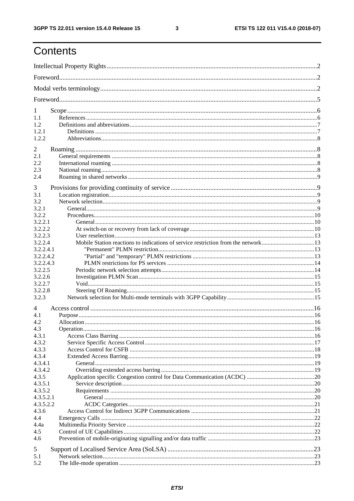$\mathbf{3}$ 

## Contents

| 1                    |                                                                                   |  |  |  |  |  |  |
|----------------------|-----------------------------------------------------------------------------------|--|--|--|--|--|--|
| 1.1                  |                                                                                   |  |  |  |  |  |  |
| 1.2                  |                                                                                   |  |  |  |  |  |  |
| 1.2.1                |                                                                                   |  |  |  |  |  |  |
| 1.2.2                |                                                                                   |  |  |  |  |  |  |
| 2                    |                                                                                   |  |  |  |  |  |  |
| 2.1                  |                                                                                   |  |  |  |  |  |  |
| 2.2                  |                                                                                   |  |  |  |  |  |  |
| 2.3                  |                                                                                   |  |  |  |  |  |  |
| 2.4                  |                                                                                   |  |  |  |  |  |  |
| 3                    |                                                                                   |  |  |  |  |  |  |
| 3.1                  |                                                                                   |  |  |  |  |  |  |
| 3.2                  |                                                                                   |  |  |  |  |  |  |
| 3.2.1                |                                                                                   |  |  |  |  |  |  |
| 3.2.2                |                                                                                   |  |  |  |  |  |  |
| 3.2.2.1              |                                                                                   |  |  |  |  |  |  |
| 3.2.2.2              |                                                                                   |  |  |  |  |  |  |
| 3.2.2.3              |                                                                                   |  |  |  |  |  |  |
| 3.2.2.4              | Mobile Station reactions to indications of service restriction from the network13 |  |  |  |  |  |  |
| 3.2.2.4.1            |                                                                                   |  |  |  |  |  |  |
| 3.2.2.4.2            |                                                                                   |  |  |  |  |  |  |
| 3.2.2.4.3<br>3.2.2.5 |                                                                                   |  |  |  |  |  |  |
| 3.2.2.6              |                                                                                   |  |  |  |  |  |  |
| 3.2.2.7              |                                                                                   |  |  |  |  |  |  |
| 3.2.2.8              |                                                                                   |  |  |  |  |  |  |
| 3.2.3                |                                                                                   |  |  |  |  |  |  |
| 4                    |                                                                                   |  |  |  |  |  |  |
| 4.1                  |                                                                                   |  |  |  |  |  |  |
| 4.2                  |                                                                                   |  |  |  |  |  |  |
| 4.3                  |                                                                                   |  |  |  |  |  |  |
| 4.3.1                |                                                                                   |  |  |  |  |  |  |
| 4.3.2                |                                                                                   |  |  |  |  |  |  |
| 4.3.3                |                                                                                   |  |  |  |  |  |  |
| 4.3.4                |                                                                                   |  |  |  |  |  |  |
| 4.3.4.1              |                                                                                   |  |  |  |  |  |  |
| 4.3.4.2<br>4.3.5     |                                                                                   |  |  |  |  |  |  |
| 4.3.5.1              |                                                                                   |  |  |  |  |  |  |
| 4.3.5.2              |                                                                                   |  |  |  |  |  |  |
| 4.3.5.2.1            |                                                                                   |  |  |  |  |  |  |
| 4.3.5.2.2            |                                                                                   |  |  |  |  |  |  |
| 4.3.6                |                                                                                   |  |  |  |  |  |  |
| 4.4                  |                                                                                   |  |  |  |  |  |  |
| 4.4a                 |                                                                                   |  |  |  |  |  |  |
| 4.5                  |                                                                                   |  |  |  |  |  |  |
| 4.6                  |                                                                                   |  |  |  |  |  |  |
| 5                    |                                                                                   |  |  |  |  |  |  |
| 5.1                  |                                                                                   |  |  |  |  |  |  |
| 5.2                  |                                                                                   |  |  |  |  |  |  |
|                      |                                                                                   |  |  |  |  |  |  |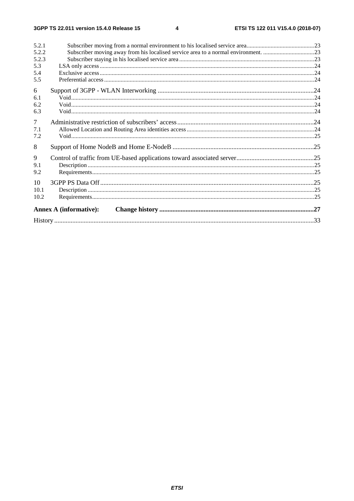| <b>Annex A (informative):</b>                                                                                                      |  |
|------------------------------------------------------------------------------------------------------------------------------------|--|
| 10<br>10.1<br>10.2                                                                                                                 |  |
| 9<br>9.1<br>9.2                                                                                                                    |  |
| 8                                                                                                                                  |  |
| $\overline{7}$<br>7.1<br>7.2                                                                                                       |  |
| 6<br>6.1<br>6.2<br>6.3                                                                                                             |  |
| 5.2.1<br>Subscriber moving away from his localised service area to a normal environment. 23<br>5.2.2<br>5.2.3<br>5.3<br>5.4<br>5.5 |  |
|                                                                                                                                    |  |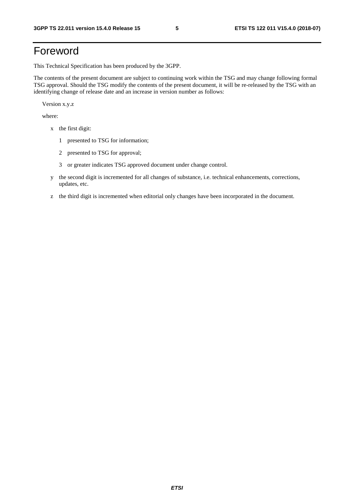## Foreword

This Technical Specification has been produced by the 3GPP.

The contents of the present document are subject to continuing work within the TSG and may change following formal TSG approval. Should the TSG modify the contents of the present document, it will be re-released by the TSG with an identifying change of release date and an increase in version number as follows:

Version x.y.z

where:

- x the first digit:
	- 1 presented to TSG for information;
	- 2 presented to TSG for approval;
	- 3 or greater indicates TSG approved document under change control.
- y the second digit is incremented for all changes of substance, i.e. technical enhancements, corrections, updates, etc.
- z the third digit is incremented when editorial only changes have been incorporated in the document.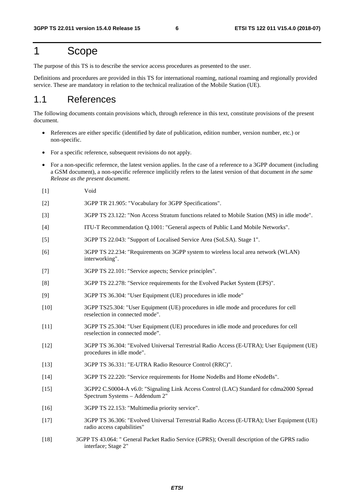## 1 Scope

The purpose of this TS is to describe the service access procedures as presented to the user.

Definitions and procedures are provided in this TS for international roaming, national roaming and regionally provided service. These are mandatory in relation to the technical realization of the Mobile Station (UE).

## 1.1 References

The following documents contain provisions which, through reference in this text, constitute provisions of the present document.

- References are either specific (identified by date of publication, edition number, version number, etc.) or non-specific.
- For a specific reference, subsequent revisions do not apply.
- For a non-specific reference, the latest version applies. In the case of a reference to a 3GPP document (including a GSM document), a non-specific reference implicitly refers to the latest version of that document *in the same Release as the present document*.
- [1] Void
- [2] 3GPP TR 21.905: "Vocabulary for 3GPP Specifications".
- [3] 3GPP TS 23.122: "Non Access Stratum functions related to Mobile Station (MS) in idle mode".
- [4] ITU-T Recommendation Q.1001: "General aspects of Public Land Mobile Networks".
- [5] 3GPP TS 22.043: "Support of Localised Service Area (SoLSA). Stage 1".
- [6] 3GPP TS 22.234: "Requirements on 3GPP system to wireless local area network (WLAN) interworking".
- [7] 3GPP TS 22.101: "Service aspects; Service principles".
- [8] 3GPP TS 22.278: "Service requirements for the Evolved Packet System (EPS)".
- [9] 3GPP TS 36.304: "User Equipment (UE) procedures in idle mode"
- [10] 3GPP TS25.304: "User Equipment (UE) procedures in idle mode and procedures for cell reselection in connected mode".
- [11] 3GPP TS 25.304: "User Equipment (UE) procedures in idle mode and procedures for cell reselection in connected mode".
- [12] 3GPP TS 36.304: "Evolved Universal Terrestrial Radio Access (E-UTRA); User Equipment (UE) procedures in idle mode".
- [13] 3GPP TS 36.331: "E-UTRA Radio Resource Control (RRC)".
- [14] 3GPP TS 22.220: "Service requirements for Home NodeBs and Home eNodeBs".
- [15] 3GPP2 C.S0004-A v6.0: "Signaling Link Access Control (LAC) Standard for cdma2000 Spread Spectrum Systems – Addendum 2"
- [16] 3GPP TS 22.153: "Multimedia priority service".
- [17] 3GPP TS 36.306: "Evolved Universal Terrestrial Radio Access (E-UTRA); User Equipment (UE) radio access capabilities"
- [18] 3GPP TS 43.064: " General Packet Radio Service (GPRS); Overall description of the GPRS radio interface; Stage 2"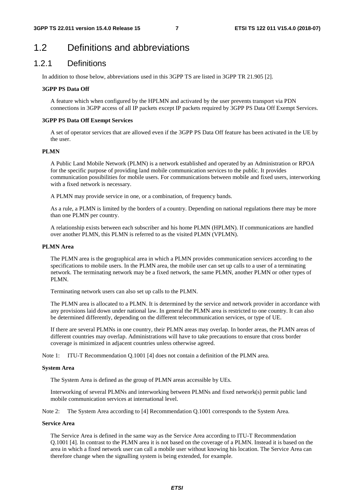## 1.2 Definitions and abbreviations

### 1.2.1 Definitions

In addition to those below, abbreviations used in this 3GPP TS are listed in 3GPP TR 21.905 [2].

#### **3GPP PS Data Off**

A feature which when configured by the HPLMN and activated by the user prevents transport via PDN connections in 3GPP access of all IP packets except IP packets required by 3GPP PS Data Off Exempt Services.

#### **3GPP PS Data Off Exempt Services**

A set of operator services that are allowed even if the 3GPP PS Data Off feature has been activated in the UE by the user.

#### **PLMN**

 A Public Land Mobile Network (PLMN) is a network established and operated by an Administration or RPOA for the specific purpose of providing land mobile communication services to the public. It provides communication possibilities for mobile users. For communications between mobile and fixed users, interworking with a fixed network is necessary.

A PLMN may provide service in one, or a combination, of frequency bands.

 As a rule, a PLMN is limited by the borders of a country. Depending on national regulations there may be more than one PLMN per country.

 A relationship exists between each subscriber and his home PLMN (HPLMN). If communications are handled over another PLMN, this PLMN is referred to as the visited PLMN (VPLMN).

#### **PLMN Area**

 The PLMN area is the geographical area in which a PLMN provides communication services according to the specifications to mobile users. In the PLMN area, the mobile user can set up calls to a user of a terminating network. The terminating network may be a fixed network, the same PLMN, another PLMN or other types of PLMN.

Terminating network users can also set up calls to the PLMN.

 The PLMN area is allocated to a PLMN. It is determined by the service and network provider in accordance with any provisions laid down under national law. In general the PLMN area is restricted to one country. It can also be determined differently, depending on the different telecommunication services, or type of UE.

 If there are several PLMNs in one country, their PLMN areas may overlap. In border areas, the PLMN areas of different countries may overlap. Administrations will have to take precautions to ensure that cross border coverage is minimized in adjacent countries unless otherwise agreed.

Note 1: ITU-T Recommendation Q.1001 [4] does not contain a definition of the PLMN area.

#### **System Area**

The System Area is defined as the group of PLMN areas accessible by UEs.

 Interworking of several PLMNs and interworking between PLMNs and fixed network(s) permit public land mobile communication services at international level.

Note 2: The System Area according to [4] Recommendation Q.1001 corresponds to the System Area.

#### **Service Area**

 The Service Area is defined in the same way as the Service Area according to ITU-T Recommendation Q.1001 [4]. In contrast to the PLMN area it is not based on the coverage of a PLMN. Instead it is based on the area in which a fixed network user can call a mobile user without knowing his location. The Service Area can therefore change when the signalling system is being extended, for example.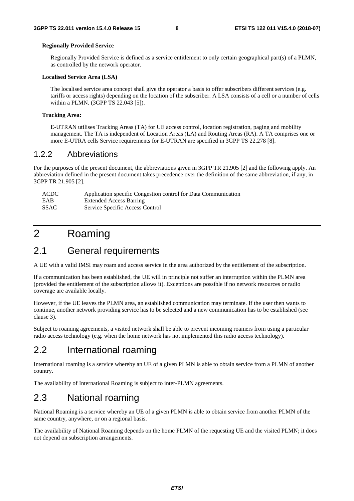#### **Regionally Provided Service**

 Regionally Provided Service is defined as a service entitlement to only certain geographical part(s) of a PLMN, as controlled by the network operator.

#### **Localised Service Area (LSA)**

 The localised service area concept shall give the operator a basis to offer subscribers different services (e.g. tariffs or access rights) depending on the location of the subscriber. A LSA consists of a cell or a number of cells within a PLMN. (3GPP TS 22.043 [5]).

#### **Tracking Area:**

E-UTRAN utilises Tracking Areas (TA) for UE access control, location registration, paging and mobility management. The TA is independent of Location Areas (LA) and Routing Areas (RA). A TA comprises one or more E-UTRA cells Service requirements for E-UTRAN are specified in 3GPP TS 22.278 [8].

#### 1.2.2 Abbreviations

For the purposes of the present document, the abbreviations given in 3GPP TR 21.905 [2] and the following apply. An abbreviation defined in the present document takes precedence over the definition of the same abbreviation, if any, in 3GPP TR 21.905 [2].

| ACDC        | Application specific Congestion control for Data Communication |
|-------------|----------------------------------------------------------------|
| EAB         | <b>Extended Access Barring</b>                                 |
| <b>SSAC</b> | Service Specific Access Control                                |

## 2 Roaming

## 2.1 General requirements

A UE with a valid IMSI may roam and access service in the area authorized by the entitlement of the subscription.

If a communication has been established, the UE will in principle not suffer an interruption within the PLMN area (provided the entitlement of the subscription allows it). Exceptions are possible if no network resources or radio coverage are available locally.

However, if the UE leaves the PLMN area, an established communication may terminate. If the user then wants to continue, another network providing service has to be selected and a new communication has to be established (see clause 3).

Subject to roaming agreements, a visited network shall be able to prevent incoming roamers from using a particular radio access technology (e.g. when the home network has not implemented this radio access technology).

## 2.2 International roaming

International roaming is a service whereby an UE of a given PLMN is able to obtain service from a PLMN of another country.

The availability of International Roaming is subject to inter-PLMN agreements.

## 2.3 National roaming

National Roaming is a service whereby an UE of a given PLMN is able to obtain service from another PLMN of the same country, anywhere, or on a regional basis.

The availability of National Roaming depends on the home PLMN of the requesting UE and the visited PLMN; it does not depend on subscription arrangements.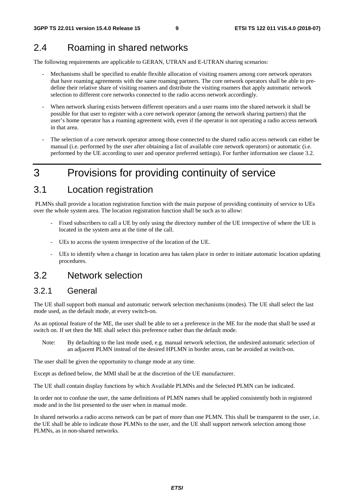## 2.4 Roaming in shared networks

The following requirements are applicable to GERAN, UTRAN and E-UTRAN sharing scenarios:

- Mechanisms shall be specified to enable flexible allocation of visiting roamers among core network operators that have roaming agreements with the same roaming partners. The core network operators shall be able to predefine their relative share of visiting roamers and distribute the visiting roamers that apply automatic network selection to different core networks connected to the radio access network accordingly.
- When network sharing exists between different operators and a user roams into the shared network it shall be possible for that user to register with a core network operator (among the network sharing partners) that the user's home operator has a roaming agreement with, even if the operator is not operating a radio access network in that area.
- The selection of a core network operator among those connected to the shared radio access network can either be manual (i.e. performed by the user after obtaining a list of available core network operators) or automatic (i.e. performed by the UE according to user and operator preferred settings). For further information see clause 3.2.

## 3 Provisions for providing continuity of service

## 3.1 Location registration

 PLMNs shall provide a location registration function with the main purpose of providing continuity of service to UEs over the whole system area. The location registration function shall be such as to allow:

- Fixed subscribers to call a UE by only using the directory number of the UE irrespective of where the UE is located in the system area at the time of the call.
- UEs to access the system irrespective of the location of the UE.
- UEs to identify when a change in location area has taken place in order to initiate automatic location updating procedures.

## 3.2 Network selection

### 3.2.1 General

The UE shall support both manual and automatic network selection mechanisms (modes). The UE shall select the last mode used, as the default mode, at every switch-on.

As an optional feature of the ME, the user shall be able to set a preference in the ME for the mode that shall be used at switch on. If set then the ME shall select this preference rather than the default mode.

Note: By defaulting to the last mode used, e.g. manual network selection, the undesired automatic selection of an adjacent PLMN instead of the desired HPLMN in border areas, can be avoided at switch-on.

The user shall be given the opportunity to change mode at any time.

Except as defined below, the MMI shall be at the discretion of the UE manufacturer.

The UE shall contain display functions by which Available PLMNs and the Selected PLMN can be indicated.

In order not to confuse the user, the same definitions of PLMN names shall be applied consistently both in registered mode and in the list presented to the user when in manual mode.

In shared networks a radio access network can be part of more than one PLMN. This shall be transparent to the user, i.e. the UE shall be able to indicate those PLMNs to the user, and the UE shall support network selection among those PLMNs, as in non-shared networks.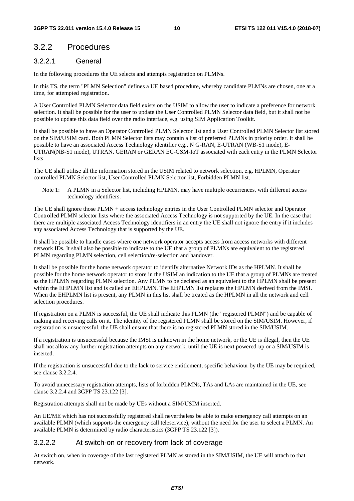## 3.2.2 Procedures

#### 3.2.2.1 General

In the following procedures the UE selects and attempts registration on PLMNs.

In this TS, the term "PLMN Selection" defines a UE based procedure, whereby candidate PLMNs are chosen, one at a time, for attempted registration.

A User Controlled PLMN Selector data field exists on the USIM to allow the user to indicate a preference for network selection. It shall be possible for the user to update the User Controlled PLMN Selector data field, but it shall not be possible to update this data field over the radio interface, e.g. using SIM Application Toolkit.

It shall be possible to have an Operator Controlled PLMN Selector list and a User Controlled PLMN Selector list stored on the SIM/USIM card. Both PLMN Selector lists may contain a list of preferred PLMNs in priority order. It shall be possible to have an associated Access Technology identifier e.g., N G-RAN, E-UTRAN (WB-S1 mode), E-UTRAN(NB-S1 mode), UTRAN, GERAN or GERAN EC-GSM-IoT associated with each entry in the PLMN Selector **lists**.

The UE shall utilise all the information stored in the USIM related to network selection, e.g. HPLMN, Operator controlled PLMN Selector list, User Controlled PLMN Selector list, Forbidden PLMN list.

Note 1: A PLMN in a Selector list, including HPLMN, may have multiple occurrences, with different access technology identifiers.

The UE shall ignore those PLMN + access technology entries in the User Controlled PLMN selector and Operator Controlled PLMN selector lists where the associated Access Technology is not supported by the UE. In the case that there are multiple associated Access Technology identifiers in an entry the UE shall not ignore the entry if it includes any associated Access Technology that is supported by the UE.

It shall be possible to handle cases where one network operator accepts access from access networks with different network IDs. It shall also be possible to indicate to the UE that a group of PLMNs are equivalent to the registered PLMN regarding PLMN selection, cell selection/re-selection and handover.

It shall be possible for the home network operator to identify alternative Network IDs as the HPLMN. It shall be possible for the home network operator to store in the USIM an indication to the UE that a group of PLMNs are treated as the HPLMN regarding PLMN selection. Any PLMN to be declared as an equivalent to the HPLMN shall be present within the EHPLMN list and is called an EHPLMN. The EHPLMN list replaces the HPLMN derived from the IMSI. When the EHPLMN list is present, any PLMN in this list shall be treated as the HPLMN in all the network and cell selection procedures.

If registration on a PLMN is successful, the UE shall indicate this PLMN (the "registered PLMN") and be capable of making and receiving calls on it. The identity of the registered PLMN shall be stored on the SIM/USIM. However, if registration is unsuccessful, the UE shall ensure that there is no registered PLMN stored in the SIM/USIM.

If a registration is unsuccessful because the IMSI is unknown in the home network, or the UE is illegal, then the UE shall not allow any further registration attempts on any network, until the UE is next powered-up or a SIM/USIM is inserted.

If the registration is unsuccessful due to the lack to service entitlement, specific behaviour by the UE may be required, see clause 3.2.2.4.

To avoid unnecessary registration attempts, lists of forbidden PLMNs, TAs and LAs are maintained in the UE, see clause 3.2.2.4 and 3GPP TS 23.122 [3].

Registration attempts shall not be made by UEs without a SIM/USIM inserted.

An UE/ME which has not successfully registered shall nevertheless be able to make emergency call attempts on an available PLMN (which supports the emergency call teleservice), without the need for the user to select a PLMN. An available PLMN is determined by radio characteristics (3GPP TS 23.122 [3]).

#### 3.2.2.2 At switch-on or recovery from lack of coverage

At switch on, when in coverage of the last registered PLMN as stored in the SIM/USIM, the UE will attach to that network.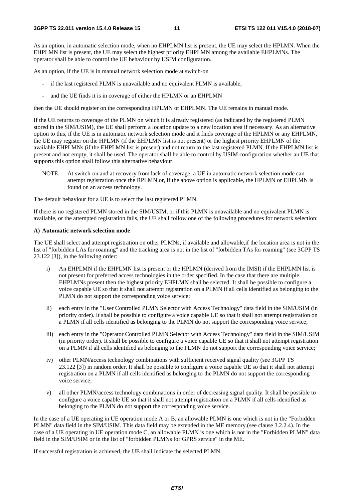As an option, in automatic selection mode, when no EHPLMN list is present, the UE may select the HPLMN. When the EHPLMN list is present, the UE may select the highest priority EHPLMN among the available EHPLMNs. The operator shall be able to control the UE behaviour by USIM configuration.

As an option, if the UE is in manual network selection mode at switch-on

- if the last registered PLMN is unavailable and no equivalent PLMN is available,
- and the UE finds it is in coverage of either the HPLMN or an EHPLMN

then the UE should register on the corresponding HPLMN or EHPLMN. The UE remains in manual mode.

If the UE returns to coverage of the PLMN on which it is already registered (as indicated by the registered PLMN stored in the SIM/USIM), the UE shall perform a location update to a new location area if necessary. As an alternative option to this, if the UE is in automatic network selection mode and it finds coverage of the HPLMN or any EHPLMN, the UE may register on the HPLMN (if the EHPLMN list is not present) or the highest priority EHPLMN of the available EHPLMNs (if the EHPLMN list is present) and not return to the last registered PLMN. If the EHPLMN list is present and not empty, it shall be used. The operator shall be able to control by USIM configuration whether an UE that supports this option shall follow this alternative behaviour.

NOTE: At switch-on and at recovery from lack of coverage, a UE in automatic network selection mode can attempt registration once the RPLMN or, if the above option is applicable, the HPLMN or EHPLMN is found on an access technology.

The default behaviour for a UE is to select the last registered PLMN.

If there is no registered PLMN stored in the SIM/USIM, or if this PLMN is unavailable and no equivalent PLMN is available, or the attempted registration fails, the UE shall follow one of the following procedures for network selection:

#### **A) Automatic network selection mode**

The UE shall select and attempt registration on other PLMNs, if available and allowable,if the location area is not in the list of "forbidden LAs for roaming" and the tracking area is not in the list of "forbidden TAs for roaming" (see 3GPP TS 23.122 [3]), in the following order:

- i) An EHPLMN if the EHPLMN list is present or the HPLMN (derived from the IMSI) if the EHPLMN list is not present for preferred access technologies in the order specified. In the case that there are multiple EHPLMNs present then the highest priority EHPLMN shall be selected. It shall be possible to configure a voice capable UE so that it shall not attempt registration on a PLMN if all cells identified as belonging to the PLMN do not support the corresponding voice service;
- ii) each entry in the "User Controlled PLMN Selector with Access Technology" data field in the SIM/USIM (in priority order). It shall be possible to configure a voice capable UE so that it shall not attempt registration on a PLMN if all cells identified as belonging to the PLMN do not support the corresponding voice service;
- iii) each entry in the "Operator Controlled PLMN Selector with Access Technology" data field in the SIM/USIM (in priority order). It shall be possible to configure a voice capable UE so that it shall not attempt registration on a PLMN if all cells identified as belonging to the PLMN do not support the corresponding voice service;
- iv) other PLMN/access technology combinations with sufficient received signal quality (see 3GPP TS 23.122 [3]) in random order. It shall be possible to configure a voice capable UE so that it shall not attempt registration on a PLMN if all cells identified as belonging to the PLMN do not support the corresponding voice service;
- v) all other PLMN/access technology combinations in order of decreasing signal quality. It shall be possible to configure a voice capable UE so that it shall not attempt registration on a PLMN if all cells identified as belonging to the PLMN do not support the corresponding voice service.

In the case of a UE operating in UE operation mode A or B, an allowable PLMN is one which is not in the "Forbidden PLMN" data field in the SIM/USIM. This data field may be extended in the ME memory.(see clause 3.2.2.4). In the case of a UE operating in UE operation mode C, an allowable PLMN is one which is not in the "Forbidden PLMN" data field in the SIM/USIM or in the list of "forbidden PLMNs for GPRS service" in the ME.

If successful registration is achieved, the UE shall indicate the selected PLMN.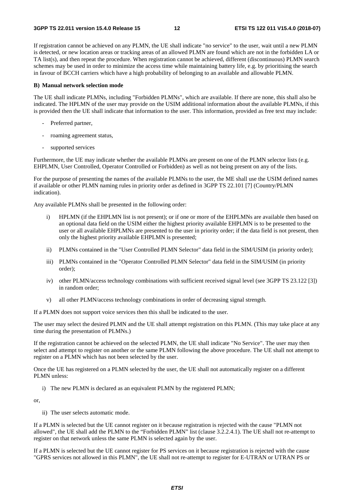If registration cannot be achieved on any PLMN, the UE shall indicate "no service" to the user, wait until a new PLMN is detected, or new location areas or tracking areas of an allowed PLMN are found which are not in the forbidden LA or TA list(s), and then repeat the procedure. When registration cannot be achieved, different (discontinuous) PLMN search schemes may be used in order to minimize the access time while maintaining battery life, e.g. by prioritising the search in favour of BCCH carriers which have a high probability of belonging to an available and allowable PLMN.

#### **B) Manual network selection mode**

The UE shall indicate PLMNs, including "Forbidden PLMNs", which are available. If there are none, this shall also be indicated. The HPLMN of the user may provide on the USIM additional information about the available PLMNs, if this is provided then the UE shall indicate that information to the user. This information, provided as free text may include:

- Preferred partner,
- roaming agreement status,
- supported services

Furthermore, the UE may indicate whether the available PLMNs are present on one of the PLMN selector lists (e.g. EHPLMN, User Controlled, Operator Controlled or Forbidden) as well as not being present on any of the lists.

For the purpose of presenting the names of the available PLMNs to the user, the ME shall use the USIM defined names if available or other PLMN naming rules in priority order as defined in 3GPP TS 22.101 [7] (Country/PLMN indication).

Any available PLMNs shall be presented in the following order:

- i) HPLMN (if the EHPLMN list is not present); or if one or more of the EHPLMNs are available then based on an optional data field on the USIM either the highest priority available EHPLMN is to be presented to the user or all available EHPLMNs are presented to the user in priority order; if the data field is not present, then only the highest priority available EHPLMN is presented;
- ii) PLMNs contained in the "User Controlled PLMN Selector" data field in the SIM/USIM (in priority order);
- iii) PLMNs contained in the "Operator Controlled PLMN Selector" data field in the SIM/USIM (in priority order);
- iv) other PLMN/access technology combinations with sufficient received signal level (see 3GPP TS 23.122 [3]) in random order;
- v) all other PLMN/access technology combinations in order of decreasing signal strength.

If a PLMN does not support voice services then this shall be indicated to the user.

The user may select the desired PLMN and the UE shall attempt registration on this PLMN. (This may take place at any time during the presentation of PLMNs.)

If the registration cannot be achieved on the selected PLMN, the UE shall indicate "No Service". The user may then select and attempt to register on another or the same PLMN following the above procedure. The UE shall not attempt to register on a PLMN which has not been selected by the user.

Once the UE has registered on a PLMN selected by the user, the UE shall not automatically register on a different PLMN unless:

i) The new PLMN is declared as an equivalent PLMN by the registered PLMN;

or,

ii) The user selects automatic mode.

If a PLMN is selected but the UE cannot register on it because registration is rejected with the cause "PLMN not allowed", the UE shall add the PLMN to the "Forbidden PLMN" list (clause 3.2.2.4.1). The UE shall not re-attempt to register on that network unless the same PLMN is selected again by the user.

If a PLMN is selected but the UE cannot register for PS services on it because registration is rejected with the cause "GPRS services not allowed in this PLMN", the UE shall not re-attempt to register for E-UTRAN or UTRAN PS or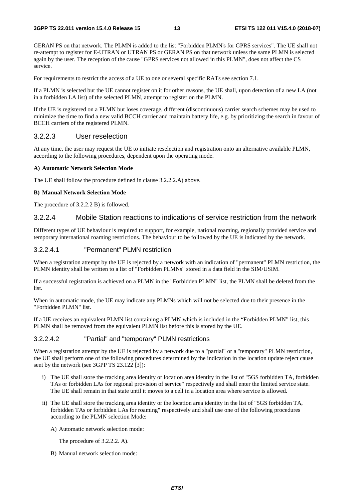GERAN PS on that network. The PLMN is added to the list "Forbidden PLMN's for GPRS services". The UE shall not re-attempt to register for E-UTRAN or UTRAN PS or GERAN PS on that network unless the same PLMN is selected again by the user. The reception of the cause "GPRS services not allowed in this PLMN", does not affect the CS service.

For requirements to restrict the access of a UE to one or several specific RATs see section 7.1.

If a PLMN is selected but the UE cannot register on it for other reasons, the UE shall, upon detection of a new LA (not in a forbidden LA list) of the selected PLMN, attempt to register on the PLMN.

If the UE is registered on a PLMN but loses coverage, different (discontinuous) carrier search schemes may be used to minimize the time to find a new valid BCCH carrier and maintain battery life, e.g. by prioritizing the search in favour of BCCH carriers of the registered PLMN.

#### 3.2.2.3 User reselection

At any time, the user may request the UE to initiate reselection and registration onto an alternative available PLMN, according to the following procedures, dependent upon the operating mode.

#### **A) Automatic Network Selection Mode**

The UE shall follow the procedure defined in clause 3.2.2.2.A) above.

#### **B) Manual Network Selection Mode**

The procedure of 3.2.2.2 B) is followed.

#### 3.2.2.4 Mobile Station reactions to indications of service restriction from the network

Different types of UE behaviour is required to support, for example, national roaming, regionally provided service and temporary international roaming restrictions. The behaviour to be followed by the UE is indicated by the network.

#### 3.2.2.4.1 "Permanent" PLMN restriction

When a registration attempt by the UE is rejected by a network with an indication of "permanent" PLMN restriction, the PLMN identity shall be written to a list of "Forbidden PLMNs" stored in a data field in the SIM/USIM.

If a successful registration is achieved on a PLMN in the "Forbidden PLMN" list, the PLMN shall be deleted from the list.

When in automatic mode, the UE may indicate any PLMNs which will not be selected due to their presence in the "Forbidden PLMN" list.

If a UE receives an equivalent PLMN list containing a PLMN which is included in the "Forbidden PLMN" list, this PLMN shall be removed from the equivalent PLMN list before this is stored by the UE.

#### 3.2.2.4.2 "Partial" and "temporary" PLMN restrictions

When a registration attempt by the UE is rejected by a network due to a "partial" or a "temporary" PLMN restriction, the UE shall perform one of the following procedures determined by the indication in the location update reject cause sent by the network (see 3GPP TS 23.122 [3]):

- i) The UE shall store the tracking area identity or location area identity in the list of "5GS forbidden TA, forbidden TAs or forbidden LAs for regional provision of service" respectively and shall enter the limited service state. The UE shall remain in that state until it moves to a cell in a location area where service is allowed.
- ii) The UE shall store the tracking area identity or the location area identity in the list of "5GS forbidden TA, forbidden TAs or forbidden LAs for roaming" respectively and shall use one of the following procedures according to the PLMN selection Mode:
	- A) Automatic network selection mode:

The procedure of 3.2.2.2. A).

B) Manual network selection mode: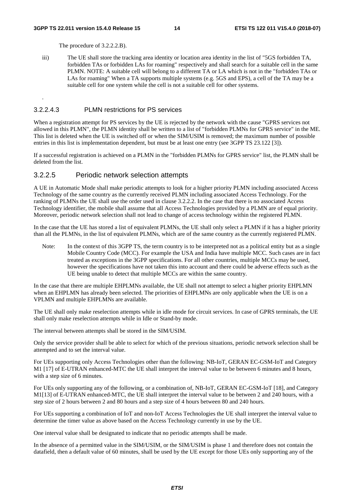.

The procedure of 3.2.2.2.B).

iii) The UE shall store the tracking area identity or location area identity in the list of "5GS forbidden TA, forbidden TAs or forbidden LAs for roaming" respectively and shall search for a suitable cell in the same PLMN. NOTE: A suitable cell will belong to a different TA or LA which is not in the "forbidden TAs or LAs for roaming" When a TA supports multiple systems (e.g. 5GS and EPS), a cell of the TA may be a suitable cell for one system while the cell is not a suitable cell for other systems.

#### 3.2.2.4.3 PLMN restrictions for PS services

When a registration attempt for PS services by the UE is rejected by the network with the cause "GPRS services not allowed in this PLMN", the PLMN identity shall be written to a list of "forbidden PLMNs for GPRS service" in the ME. This list is deleted when the UE is switched off or when the SIM/USIM is removed; the maximum number of possible entries in this list is implementation dependent, but must be at least one entry (see 3GPP TS 23.122 [3]).

If a successful registration is achieved on a PLMN in the "forbidden PLMNs for GPRS service" list, the PLMN shall be deleted from the list.

#### 3.2.2.5 Periodic network selection attempts

A UE in Automatic Mode shall make periodic attempts to look for a higher priority PLMN including associated Access Technology of the same country as the currently received PLMN including associated Access Technology. For the ranking of PLMNs the UE shall use the order used in clause 3.2.2.2. In the case that there is no associated Access Technology identifier, the mobile shall assume that all Access Technologies provided by a PLMN are of equal priority. Moreover, periodic network selection shall not lead to change of access technology within the registered PLMN.

In the case that the UE has stored a list of equivalent PLMNs, the UE shall only select a PLMN if it has a higher priority than all the PLMNs, in the list of equivalent PLMNs, which are of the same country as the currently registered PLMN.

Note: In the context of this 3GPP TS, the term country is to be interpreted not as a political entity but as a single Mobile Country Code (MCC). For example the USA and India have multiple MCC. Such cases are in fact treated as exceptions in the 3GPP specifications. For all other countries, multiple MCCs may be used, however the specifications have not taken this into account and there could be adverse effects such as the UE being unable to detect that multiple MCCs are within the same country.

In the case that there are multiple EHPLMNs available, the UE shall not attempt to select a higher priority EHPLMN when an EHPLMN has already been selected. The priorities of EHPLMNs are only applicable when the UE is on a VPLMN and multiple EHPLMNs are available.

The UE shall only make reselection attempts while in idle mode for circuit services. In case of GPRS terminals, the UE shall only make reselection attempts while in Idle or Stand-by mode.

The interval between attempts shall be stored in the SIM/USIM.

Only the service provider shall be able to select for which of the previous situations, periodic network selection shall be attempted and to set the interval value.

For UEs supporting only Access Technologies other than the following: NB-IoT, GERAN EC-GSM-IoT and Category M1 [17] of E-UTRAN enhanced-MTC the UE shall interpret the interval value to be between 6 minutes and 8 hours, with a step size of 6 minutes.

For UEs only supporting any of the following, or a combination of, NB-IoT, GERAN EC-GSM-IoT [18], and Category M1[13] of E-UTRAN enhanced-MTC, the UE shall interpret the interval value to be between 2 and 240 hours, with a step size of 2 hours between 2 and 80 hours and a step size of 4 hours between 80 and 240 hours.

For UEs supporting a combination of IoT and non-IoT Access Technologies the UE shall interpret the interval value to determine the timer value as above based on the Access Technology currently in use by the UE.

One interval value shall be designated to indicate that no periodic attempts shall be made.

In the absence of a permitted value in the SIM/USIM, or the SIM/USIM is phase 1 and therefore does not contain the datafield, then a default value of 60 minutes, shall be used by the UE except for those UEs only supporting any of the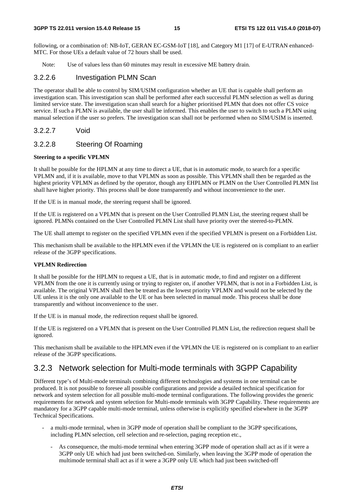following, or a combination of: NB-IoT, GERAN EC-GSM-IoT [18], and Category M1 [17] of E-UTRAN enhanced-MTC. For those UEs a default value of 72 hours shall be used.

Note: Use of values less than 60 minutes may result in excessive ME battery drain.

#### 3.2.2.6 Investigation PLMN Scan

The operator shall be able to control by SIM/USIM configuration whether an UE that is capable shall perform an investigation scan. This investigation scan shall be performed after each successful PLMN selection as well as during limited service state. The investigation scan shall search for a higher prioritised PLMN that does not offer CS voice service. If such a PLMN is available, the user shall be informed. This enables the user to switch to such a PLMN using manual selection if the user so prefers. The investigation scan shall not be performed when no SIM/USIM is inserted.

3.2.2.7 Void

#### 3.2.2.8 Steering Of Roaming

#### **Steering to a specific VPLMN**

It shall be possible for the HPLMN at any time to direct a UE, that is in automatic mode, to search for a specific VPLMN and, if it is available, move to that VPLMN as soon as possible. This VPLMN shall then be regarded as the highest priority VPLMN as defined by the operator, though any EHPLMN or PLMN on the User Controlled PLMN list shall have higher priority. This process shall be done transparently and without inconvenience to the user.

If the UE is in manual mode, the steering request shall be ignored.

If the UE is registered on a VPLMN that is present on the User Controlled PLMN List, the steering request shall be ignored. PLMNs contained on the User Controlled PLMN List shall have priority over the steered-to-PLMN.

The UE shall attempt to register on the specified VPLMN even if the specified VPLMN is present on a Forbidden List.

This mechanism shall be available to the HPLMN even if the VPLMN the UE is registered on is compliant to an earlier release of the 3GPP specifications.

#### **VPLMN Redirection**

It shall be possible for the HPLMN to request a UE, that is in automatic mode, to find and register on a different VPLMN from the one it is currently using or trying to register on, if another VPLMN, that is not in a Forbidden List, is available. The original VPLMN shall then be treated as the lowest priority VPLMN and would not be selected by the UE unless it is the only one available to the UE or has been selected in manual mode. This process shall be done transparently and without inconvenience to the user.

If the UE is in manual mode, the redirection request shall be ignored.

If the UE is registered on a VPLMN that is present on the User Controlled PLMN List, the redirection request shall be ignored.

This mechanism shall be available to the HPLMN even if the VPLMN the UE is registered on is compliant to an earlier release of the 3GPP specifications.

## 3.2.3 Network selection for Multi-mode terminals with 3GPP Capability

Different type's of Multi-mode terminals combining different technologies and systems in one terminal can be produced. It is not possible to foresee all possible configurations and provide a detailed technical specification for network and system selection for all possible multi-mode terminal configurations. The following provides the generic requirements for network and system selection for Multi-mode terminals with 3GPP Capability. These requirements are mandatory for a 3GPP capable multi-mode terminal, unless otherwise is explicitly specified elsewhere in the 3GPP Technical Specifications.

- a multi-mode terminal, when in 3GPP mode of operation shall be compliant to the 3GPP specifications, including PLMN selection, cell selection and re-selection, paging reception etc.,
	- As consequence, the multi-mode terminal when entering 3GPP mode of operation shall act as if it were a 3GPP only UE which had just been switched-on. Similarly, when leaving the 3GPP mode of operation the multimode terminal shall act as if it were a 3GPP only UE which had just been switched-off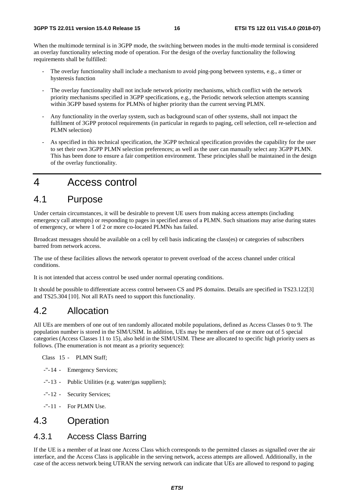When the multimode terminal is in 3GPP mode, the switching between modes in the multi-mode terminal is considered an overlay functionality selecting mode of operation. For the design of the overlay functionality the following requirements shall be fulfilled:

- The overlay functionality shall include a mechanism to avoid ping-pong between systems, e.g., a timer or hysteresis function
- The overlay functionality shall not include network priority mechanisms, which conflict with the network priority mechanisms specified in 3GPP specifications, e.g., the Periodic network selection attempts scanning within 3GPP based systems for PLMNs of higher priority than the current serving PLMN.
- Any functionality in the overlay system, such as background scan of other systems, shall not impact the fulfilment of 3GPP protocol requirements (in particular in regards to paging, cell selection, cell re-selection and PLMN selection)
- As specified in this technical specification, the 3GPP technical specification provides the capability for the user to set their own 3GPP PLMN selection preferences; as well as the user can manually select any 3GPP PLMN. This has been done to ensure a fair competition environment. These principles shall be maintained in the design of the overlay functionality.

## 4 Access control

## 4.1 Purpose

Under certain circumstances, it will be desirable to prevent UE users from making access attempts (including emergency call attempts) or responding to pages in specified areas of a PLMN. Such situations may arise during states of emergency, or where 1 of 2 or more co-located PLMNs has failed.

Broadcast messages should be available on a cell by cell basis indicating the class(es) or categories of subscribers barred from network access.

The use of these facilities allows the network operator to prevent overload of the access channel under critical conditions.

It is not intended that access control be used under normal operating conditions.

It should be possible to differentiate access control between CS and PS domains. Details are specified in TS23.122[3] and TS25.304 [10]. Not all RATs need to support this functionality.

## 4.2 Allocation

All UEs are members of one out of ten randomly allocated mobile populations, defined as Access Classes 0 to 9. The population number is stored in the SIM/USIM. In addition, UEs may be members of one or more out of 5 special categories (Access Classes 11 to 15), also held in the SIM/USIM. These are allocated to specific high priority users as follows. (The enumeration is not meant as a priority sequence):

Class 15 - PLMN Staff;

- -"- 14 Emergency Services;
- -"- 13 Public Utilities (e.g. water/gas suppliers);
- -"- 12 Security Services;
- -"-11 For PLMN Use.

## 4.3 Operation

### 4.3.1 Access Class Barring

If the UE is a member of at least one Access Class which corresponds to the permitted classes as signalled over the air interface, and the Access Class is applicable in the serving network, access attempts are allowed. Additionally, in the case of the access network being UTRAN the serving network can indicate that UEs are allowed to respond to paging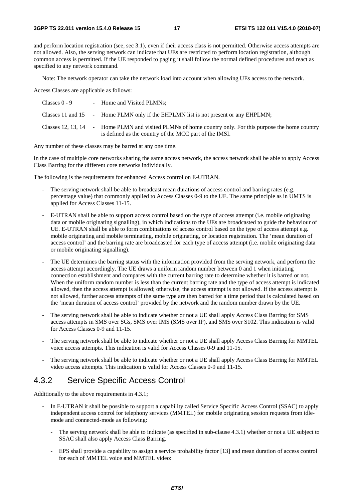and perform location registration (see, sec 3.1), even if their access class is not permitted. Otherwise access attempts are not allowed. Also, the serving network can indicate that UEs are restricted to perform location registration, although common access is permitted. If the UE responded to paging it shall follow the normal defined procedures and react as specified to any network command.

Note: The network operator can take the network load into account when allowing UEs access to the network.

Access Classes are applicable as follows:

| Classes 0 - 9 | - Home and Visited PLMNs;                                                                                                                                          |
|---------------|--------------------------------------------------------------------------------------------------------------------------------------------------------------------|
|               | Classes 11 and 15 $\blacksquare$ - Home PLMN only if the EHPLMN list is not present or any EHPLMN;                                                                 |
|               | Classes 12, 13, 14 - Home PLMN and visited PLMNs of home country only. For this purpose the home country<br>is defined as the country of the MCC part of the IMSI. |

Any number of these classes may be barred at any one time.

In the case of multiple core networks sharing the same access network, the access network shall be able to apply Access Class Barring for the different core networks individually.

The following is the requirements for enhanced Access control on E-UTRAN.

- The serving network shall be able to broadcast mean durations of access control and barring rates (e.g. percentage value) that commonly applied to Access Classes 0-9 to the UE. The same principle as in UMTS is applied for Access Classes 11-15.
- E-UTRAN shall be able to support access control based on the type of access attempt (i.e. mobile originating data or mobile originating signalling), in which indications to the UEs are broadcasted to guide the behaviour of UE. E-UTRAN shall be able to form combinations of access control based on the type of access attempt e.g. mobile originating and mobile terminating, mobile originating, or location registration. The 'mean duration of access control' and the barring rate are broadcasted for each type of access attempt (i.e. mobile originating data or mobile originating signalling).
- The UE determines the barring status with the information provided from the serving network, and perform the access attempt accordingly. The UE draws a uniform random number between 0 and 1 when initiating connection establishment and compares with the current barring rate to determine whether it is barred or not. When the uniform random number is less than the current barring rate and the type of access attempt is indicated allowed, then the access attempt is allowed; otherwise, the access attempt is not allowed. If the access attempt is not allowed, further access attempts of the same type are then barred for a time period that is calculated based on the 'mean duration of access control' provided by the network and the random number drawn by the UE.
- The serving network shall be able to indicate whether or not a UE shall apply Access Class Barring for SMS access attempts in SMS over SGs, SMS over IMS (SMS over IP), and SMS over S102. This indication is valid for Access Classes 0-9 and 11-15.
- The serving network shall be able to indicate whether or not a UE shall apply Access Class Barring for MMTEL voice access attempts. This indication is valid for Access Classes 0-9 and 11-15.
- The serving network shall be able to indicate whether or not a UE shall apply Access Class Barring for MMTEL video access attempts. This indication is valid for Access Classes 0-9 and 11-15.

### 4.3.2 Service Specific Access Control

Additionally to the above requirements in 4.3.1;

- In E-UTRAN it shall be possible to support a capability called Service Specific Access Control (SSAC) to apply independent access control for telephony services (MMTEL) for mobile originating session requests from idlemode and connected-mode as following:
	- The serving network shall be able to indicate (as specified in sub-clause 4.3.1) whether or not a UE subject to SSAC shall also apply Access Class Barring.
	- EPS shall provide a capability to assign a service probability factor [13] and mean duration of access control for each of MMTEL voice and MMTEL video: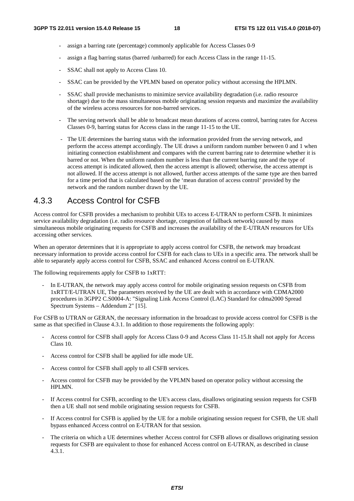- assign a barring rate (percentage) commonly applicable for Access Classes 0-9
- assign a flag barring status (barred /unbarred) for each Access Class in the range 11-15.
- SSAC shall not apply to Access Class 10.
- SSAC can be provided by the VPLMN based on operator policy without accessing the HPLMN.
- SSAC shall provide mechanisms to minimize service availability degradation (i.e. radio resource shortage) due to the mass simultaneous mobile originating session requests and maximize the availability of the wireless access resources for non-barred services.
- The serving network shall be able to broadcast mean durations of access control, barring rates for Access Classes 0-9, barring status for Access class in the range 11-15 to the UE.
- The UE determines the barring status with the information provided from the serving network, and perform the access attempt accordingly. The UE draws a uniform random number between 0 and 1 when initiating connection establishment and compares with the current barring rate to determine whether it is barred or not. When the uniform random number is less than the current barring rate and the type of access attempt is indicated allowed, then the access attempt is allowed; otherwise, the access attempt is not allowed. If the access attempt is not allowed, further access attempts of the same type are then barred for a time period that is calculated based on the 'mean duration of access control' provided by the network and the random number drawn by the UE.

### 4.3.3 Access Control for CSFB

Access control for CSFB provides a mechanism to prohibit UEs to access E-UTRAN to perform CSFB. It minimizes service availability degradation (i.e. radio resource shortage, congestion of fallback network) caused by mass simultaneous mobile originating requests for CSFB and increases the availability of the E-UTRAN resources for UEs accessing other services.

When an operator determines that it is appropriate to apply access control for CSFB, the network may broadcast necessary information to provide access control for CSFB for each class to UEs in a specific area. The network shall be able to separately apply access control for CSFB, SSAC and enhanced Access control on E-UTRAN.

The following requirements apply for CSFB to 1xRTT:

In E-UTRAN, the network may apply access control for mobile originating session requests on CSFB from 1xRTT/E-UTRAN UE, The parameters received by the UE are dealt with in accordance with CDMA2000 procedures in 3GPP2 C.S0004-A: "Signaling Link Access Control (LAC) Standard for cdma2000 Spread Spectrum Systems – Addendum 2" [15].

For CSFB to UTRAN or GERAN, the necessary information in the broadcast to provide access control for CSFB is the same as that specified in Clause 4.3.1. In addition to those requirements the following apply:

- Access control for CSFB shall apply for Access Class 0-9 and Access Class 11-15.It shall not apply for Access Class 10.
- Access control for CSFB shall be applied for idle mode UE.
- Access control for CSFB shall apply to all CSFB services.
- Access control for CSFB may be provided by the VPLMN based on operator policy without accessing the HPLMN.
- If Access control for CSFB, according to the UE's access class, disallows originating session requests for CSFB then a UE shall not send mobile originating session requests for CSFB.
- If Access control for CSFB is applied by the UE for a mobile originating session request for CSFB, the UE shall bypass enhanced Access control on E-UTRAN for that session.
- The criteria on which a UE determines whether Access control for CSFB allows or disallows originating session requests for CSFB are equivalent to those for enhanced Access control on E-UTRAN, as described in clause 4.3.1.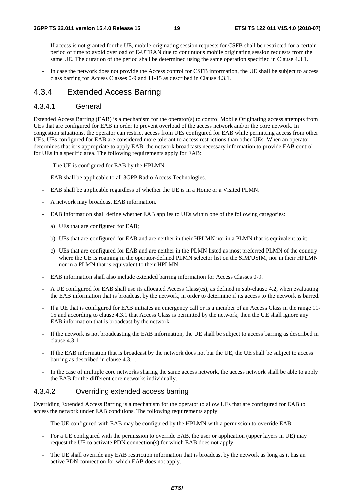- If access is not granted for the UE, mobile originating session requests for CSFB shall be restricted for a certain period of time to avoid overload of E-UTRAN due to continuous mobile originating session requests from the same UE. The duration of the period shall be determined using the same operation specified in Clause 4.3.1.
- In case the network does not provide the Access control for CSFB information, the UE shall be subject to access class barring for Access Classes 0-9 and 11-15 as described in Clause 4.3.1.

#### 4.3.4 Extended Access Barring

#### 4.3.4.1 General

Extended Access Barring (EAB) is a mechanism for the operator(s) to control Mobile Originating access attempts from UEs that are configured for EAB in order to prevent overload of the access network and/or the core network. In congestion situations, the operator can restrict access from UEs configured for EAB while permitting access from other UEs. UEs configured for EAB are considered more tolerant to access restrictions than other UEs. When an operator determines that it is appropriate to apply EAB, the network broadcasts necessary information to provide EAB control for UEs in a specific area. The following requirements apply for EAB:

- The UE is configured for EAB by the HPLMN
- EAB shall be applicable to all 3GPP Radio Access Technologies.
- EAB shall be applicable regardless of whether the UE is in a Home or a Visited PLMN.
- A network may broadcast EAB information.
- EAB information shall define whether EAB applies to UEs within one of the following categories:
	- a) UEs that are configured for EAB;
	- b) UEs that are configured for EAB and are neither in their HPLMN nor in a PLMN that is equivalent to it;
	- c) UEs that are configured for EAB and are neither in the PLMN listed as most preferred PLMN of the country where the UE is roaming in the operator-defined PLMN selector list on the SIM/USIM, nor in their HPLMN nor in a PLMN that is equivalent to their HPLMN
- EAB information shall also include extended barring information for Access Classes 0-9.
- A UE configured for EAB shall use its allocated Access Class(es), as defined in sub-clause 4.2, when evaluating the EAB information that is broadcast by the network, in order to determine if its access to the network is barred.
- If a UE that is configured for EAB initiates an emergency call or is a member of an Access Class in the range 11- 15 and according to clause 4.3.1 that Access Class is permitted by the network, then the UE shall ignore any EAB information that is broadcast by the network.
- If the network is not broadcasting the EAB information, the UE shall be subject to access barring as described in clause 4.3.1
- If the EAB information that is broadcast by the network does not bar the UE, the UE shall be subject to access barring as described in clause 4.3.1.
- In the case of multiple core networks sharing the same access network, the access network shall be able to apply the EAB for the different core networks individually.

#### 4.3.4.2 Overriding extended access barring

Overriding Extended Access Barring is a mechanism for the operator to allow UEs that are configured for EAB to access the network under EAB conditions. The following requirements apply:

- The UE configured with EAB may be configured by the HPLMN with a permission to override EAB.
- For a UE configured with the permission to override EAB, the user or application (upper layers in UE) may request the UE to activate PDN connection(s) for which EAB does not apply.
- The UE shall override any EAB restriction information that is broadcast by the network as long as it has an active PDN connection for which EAB does not apply.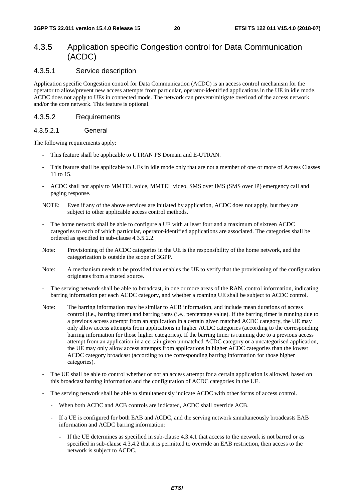## 4.3.5 Application specific Congestion control for Data Communication (ACDC)

#### 4.3.5.1 Service description

Application specific Congestion control for Data Communication (ACDC) is an access control mechanism for the operator to allow/prevent new access attempts from particular, operator-identified applications in the UE in idle mode. ACDC does not apply to UEs in connected mode. The network can prevent/mitigate overload of the access network and/or the core network. This feature is optional.

#### 4.3.5.2 Requirements

#### 4.3.5.2.1 General

The following requirements apply:

- This feature shall be applicable to UTRAN PS Domain and E-UTRAN.
- This feature shall be applicable to UEs in idle mode only that are not a member of one or more of Access Classes 11 to 15.
- ACDC shall not apply to MMTEL voice, MMTEL video, SMS over IMS (SMS over IP) emergency call and paging response.
- NOTE: Even if any of the above services are initiated by application, ACDC does not apply, but they are subject to other applicable access control methods.
- The home network shall be able to configure a UE with at least four and a maximum of sixteen ACDC categories to each of which particular, operator-identified applications are associated. The categories shall be ordered as specified in sub-clause 4.3.5.2.2.
- Note: Provisioning of the ACDC categories in the UE is the responsibility of the home network, and the categorization is outside the scope of 3GPP.
- Note: A mechanism needs to be provided that enables the UE to verify that the provisioning of the configuration originates from a trusted source.
- The serving network shall be able to broadcast, in one or more areas of the RAN, control information, indicating barring information per each ACDC category, and whether a roaming UE shall be subject to ACDC control.
- Note: The barring information may be similar to ACB information, and include mean durations of access control (i.e., barring timer) and barring rates (i.e., percentage value). If the barring timer is running due to a previous access attempt from an application in a certain given matched ACDC category, the UE may only allow access attempts from applications in higher ACDC categories (according to the corresponding barring information for those higher categories). If the barring timer is running due to a previous access attempt from an application in a certain given unmatched ACDC category or a uncategorised application, the UE may only allow access attempts from applications in higher ACDC categories than the lowest ACDC category broadcast (according to the corresponding barring information for those higher categories).
- The UE shall be able to control whether or not an access attempt for a certain application is allowed, based on this broadcast barring information and the configuration of ACDC categories in the UE.
- The serving network shall be able to simultaneously indicate ACDC with other forms of access control.
	- When both ACDC and ACB controls are indicated, ACDC shall override ACB.
	- If a UE is configured for both EAB and ACDC, and the serving network simultaneously broadcasts EAB information and ACDC barring information:
		- If the UE determines as specified in sub-clause 4.3.4.1 that access to the network is not barred or as specified in sub-clause 4.3.4.2 that it is permitted to override an EAB restriction, then access to the network is subject to ACDC.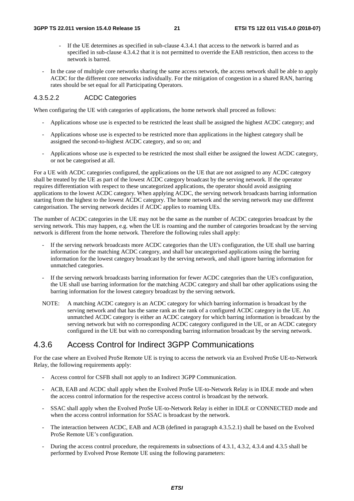- If the UE determines as specified in sub-clause 4.3.4.1 that access to the network is barred and as specified in sub-clause 4.3.4.2 that it is not permitted to override the EAB restriction, then access to the network is barred.
- In the case of multiple core networks sharing the same access network, the access network shall be able to apply ACDC for the different core networks individually. For the mitigation of congestion in a shared RAN, barring rates should be set equal for all Participating Operators.

#### 4.3.5.2.2 ACDC Categories

When configuring the UE with categories of applications, the home network shall proceed as follows:

- Applications whose use is expected to be restricted the least shall be assigned the highest ACDC category; and
- Applications whose use is expected to be restricted more than applications in the highest category shall be assigned the second-to-highest ACDC category, and so on; and
- Applications whose use is expected to be restricted the most shall either be assigned the lowest ACDC category, or not be categorised at all.

For a UE with ACDC categories configured, the applications on the UE that are not assigned to any ACDC category shall be treated by the UE as part of the lowest ACDC category broadcast by the serving network. If the operator requires differentiation with respect to these uncategorized applications, the operator should avoid assigning applications to the lowest ACDC category. When applying ACDC, the serving network broadcasts barring information starting from the highest to the lowest ACDC category. The home network and the serving network may use different categorisation. The serving network decides if ACDC applies to roaming UEs.

The number of ACDC categories in the UE may not be the same as the number of ACDC categories broadcast by the serving network. This may happen, e.g. when the UE is roaming and the number of categories broadcast by the serving network is different from the home network. Therefore the following rules shall apply:

- If the serving network broadcasts more ACDC categories than the UE's configuration, the UE shall use barring information for the matching ACDC category, and shall bar uncategorised applications using the barring information for the lowest category broadcast by the serving network, and shall ignore barring information for unmatched categories.
- If the serving network broadcasts barring information for fewer ACDC categories than the UE's configuration, the UE shall use barring information for the matching ACDC category and shall bar other applications using the barring information for the lowest category broadcast by the serving network.
- NOTE: A matching ACDC category is an ACDC category for which barring information is broadcast by the serving network and that has the same rank as the rank of a configured ACDC category in the UE. An unmatched ACDC category is either an ACDC category for which barring information is broadcast by the serving network but with no corresponding ACDC category configured in the UE, or an ACDC category configured in the UE but with no corresponding barring information broadcast by the serving network.

## 4.3.6 Access Control for Indirect 3GPP Communications

For the case where an Evolved ProSe Remote UE is trying to access the network via an Evolved ProSe UE-to-Network Relay, the following requirements apply:

- Access control for CSFB shall not apply to an Indirect 3GPP Communication.
- ACB, EAB and ACDC shall apply when the Evolved ProSe UE-to-Network Relay is in IDLE mode and when the access control information for the respective access control is broadcast by the network.
- SSAC shall apply when the Evolved ProSe UE-to-Network Relay is either in IDLE or CONNECTED mode and when the access control information for SSAC is broadcast by the network.
- The interaction between ACDC, EAB and ACB (defined in paragraph 4.3.5.2.1) shall be based on the Evolved ProSe Remote UE's configuration.
- During the access control procedure, the requirements in subsections of 4.3.1, 4.3.2, 4.3.4 and 4.3.5 shall be performed by Evolved Prose Remote UE using the following parameters: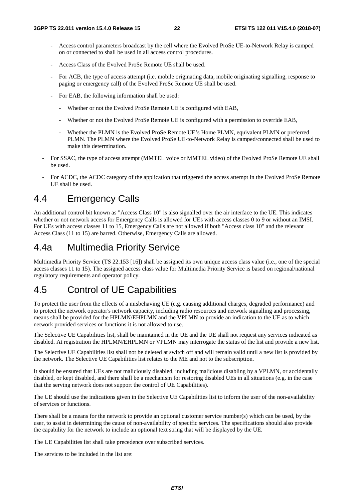- Access control parameters broadcast by the cell where the Evolved ProSe UE-to-Network Relay is camped on or connected to shall be used in all access control procedures.
- Access Class of the Evolved ProSe Remote UE shall be used.
- For ACB, the type of access attempt (i.e. mobile originating data, mobile originating signalling, response to paging or emergency call) of the Evolved ProSe Remote UE shall be used.
- For EAB, the following information shall be used:
	- Whether or not the Evolved ProSe Remote UE is configured with EAB,
	- Whether or not the Evolved ProSe Remote UE is configured with a permission to override EAB,
	- Whether the PLMN is the Evolved ProSe Remote UE's Home PLMN, equivalent PLMN or preferred PLMN. The PLMN where the Evolved ProSe UE-to-Network Relay is camped/connected shall be used to make this determination.
- For SSAC, the type of access attempt (MMTEL voice or MMTEL video) of the Evolved ProSe Remote UE shall be used.
- For ACDC, the ACDC category of the application that triggered the access attempt in the Evolved ProSe Remote UE shall be used.

## 4.4 Emergency Calls

An additional control bit known as "Access Class 10" is also signalled over the air interface to the UE. This indicates whether or not network access for Emergency Calls is allowed for UEs with access classes 0 to 9 or without an IMSI. For UEs with access classes 11 to 15, Emergency Calls are not allowed if both "Access class 10" and the relevant Access Class (11 to 15) are barred. Otherwise, Emergency Calls are allowed.

## 4.4a Multimedia Priority Service

Multimedia Priority Service (TS 22.153 [16]) shall be assigned its own unique access class value (i.e., one of the special access classes 11 to 15). The assigned access class value for Multimedia Priority Service is based on regional/national regulatory requirements and operator policy.

## 4.5 Control of UE Capabilities

To protect the user from the effects of a misbehaving UE (e.g. causing additional charges, degraded performance) and to protect the network operator's network capacity, including radio resources and network signalling and processing, means shall be provided for the HPLMN/EHPLMN and the VPLMN to provide an indication to the UE as to which network provided services or functions it is not allowed to use.

The Selective UE Capabilities list, shall be maintained in the UE and the UE shall not request any services indicated as disabled. At registration the HPLMN/EHPLMN or VPLMN may interrogate the status of the list and provide a new list.

The Selective UE Capabilities list shall not be deleted at switch off and will remain valid until a new list is provided by the network. The Selective UE Capabilities list relates to the ME and not to the subscription.

It should be ensured that UEs are not maliciously disabled, including malicious disabling by a VPLMN, or accidentally disabled, or kept disabled, and there shall be a mechanism for restoring disabled UEs in all situations (e.g. in the case that the serving network does not support the control of UE Capabilities).

The UE should use the indications given in the Selective UE Capabilities list to inform the user of the non-availability of services or functions.

There shall be a means for the network to provide an optional customer service number(s) which can be used, by the user, to assist in determining the cause of non-availability of specific services. The specifications should also provide the capability for the network to include an optional text string that will be displayed by the UE.

The UE Capabilities list shall take precedence over subscribed services.

The services to be included in the list are: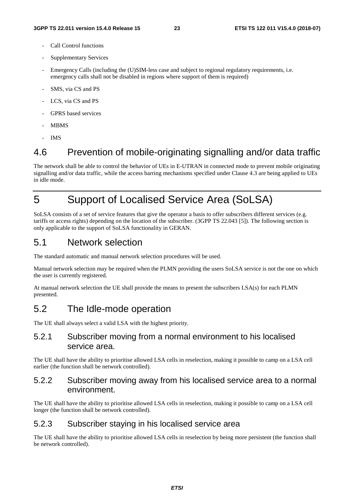- Call Control functions
- Supplementary Services
- Emergency Calls (including the (U)SIM-less case and subject to regional regulatory requirements, i.e. emergency calls shall not be disabled in regions where support of them is required)
- SMS, via CS and PS
- LCS, via CS and PS
- GPRS based services
- MBMS
- IMS

## 4.6 Prevention of mobile-originating signalling and/or data traffic

The network shall be able to control the behavior of UEs in E-UTRAN in connected mode to prevent mobile originating signalling and/or data traffic, while the access barring mechanisms specified under Clause 4.3 are being applied to UEs in idle mode.

## 5 Support of Localised Service Area (SoLSA)

SoLSA consists of a set of service features that give the operator a basis to offer subscribers different services (e.g. tariffs or access rights) depending on the location of the subscriber. (3GPP TS 22.043 [5]). The following section is only applicable to the support of SoLSA functionality in GERAN.

## 5.1 Network selection

The standard automatic and manual network selection procedures will be used.

Manual network selection may be required when the PLMN providing the users SoLSA service is not the one on which the user is currently registered.

At manual network selection the UE shall provide the means to present the subscribers LSA(s) for each PLMN presented.

## 5.2 The Idle-mode operation

The UE shall always select a valid LSA with the highest priority.

## 5.2.1 Subscriber moving from a normal environment to his localised service area.

The UE shall have the ability to prioritise allowed LSA cells in reselection, making it possible to camp on a LSA cell earlier (the function shall be network controlled).

## 5.2.2 Subscriber moving away from his localised service area to a normal environment.

The UE shall have the ability to prioritise allowed LSA cells in reselection, making it possible to camp on a LSA cell longer (the function shall be network controlled).

## 5.2.3 Subscriber staying in his localised service area

The UE shall have the ability to prioritise allowed LSA cells in reselection by being more persistent (the function shall be network controlled).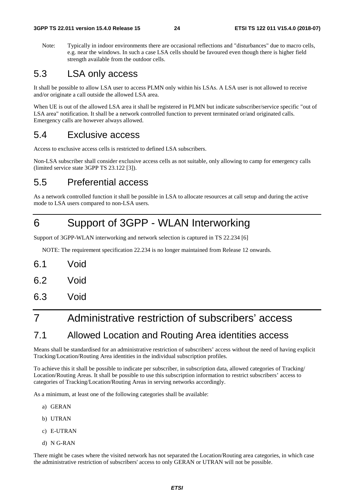Note: Typically in indoor environments there are occasional reflections and "disturbances" due to macro cells, e.g. near the windows. In such a case LSA cells should be favoured even though there is higher field strength available from the outdoor cells.

## 5.3 LSA only access

It shall be possible to allow LSA user to access PLMN only within his LSAs. A LSA user is not allowed to receive and/or originate a call outside the allowed LSA area.

When UE is out of the allowed LSA area it shall be registered in PLMN but indicate subscriber/service specific "out of LSA area" notification. It shall be a network controlled function to prevent terminated or/and originated calls. Emergency calls are however always allowed.

## 5.4 Exclusive access

Access to exclusive access cells is restricted to defined LSA subscribers.

Non-LSA subscriber shall consider exclusive access cells as not suitable, only allowing to camp for emergency calls (limited service state 3GPP TS 23.122 [3]).

## 5.5 Preferential access

As a network controlled function it shall be possible in LSA to allocate resources at call setup and during the active mode to LSA users compared to non-LSA users.

## 6 Support of 3GPP - WLAN Interworking

Support of 3GPP-WLAN interworking and network selection is captured in TS 22.234 [6]

NOTE: The requirement specification 22.234 is no longer maintained from Release 12 onwards.

- 6.1 Void
- 6.2 Void
- 6.3 Void

## 7 Administrative restriction of subscribers' access

## 7.1 Allowed Location and Routing Area identities access

Means shall be standardised for an administrative restriction of subscribers' access without the need of having explicit Tracking/Location/Routing Area identities in the individual subscription profiles.

To achieve this it shall be possible to indicate per subscriber, in subscription data, allowed categories of Tracking/ Location/Routing Areas. It shall be possible to use this subscription information to restrict subscribers' access to categories of Tracking/Location/Routing Areas in serving networks accordingly.

As a minimum, at least one of the following categories shall be available:

- a) GERAN
- b) UTRAN
- c) E-UTRAN
- d) N G-RAN

There might be cases where the visited network has not separated the Location/Routing area categories, in which case the administrative restriction of subscribers' access to only GERAN or UTRAN will not be possible.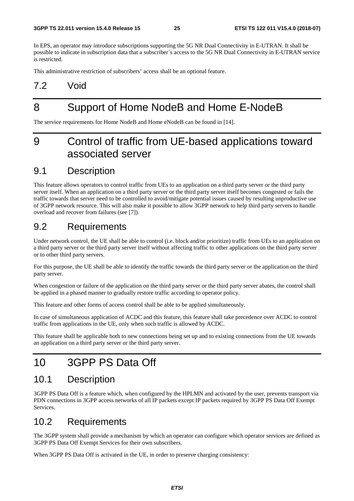In EPS, an operator may introduce subscriptions supporting the 5G NR Dual Connectivity in E-UTRAN. It shall be possible to indicate in subscription data that a subscriber´s access to the 5G NR Dual Connectivity in E-UTRAN service is restricted.

This administrative restriction of subscribers' access shall be an optional feature.

## 7.2 Void

## 8 Support of Home NodeB and Home E-NodeB

The service requirements for Home NodeB and Home eNodeB can be found in [14].

## 9 Control of traffic from UE-based applications toward associated server

## 9.1 Description

This feature allows operators to control traffic from UEs to an application on a third party server or the third party server itself. When an application on a third party server or the third party server itself becomes congested or fails the traffic towards that server need to be controlled to avoid/mitigate potential issues caused by resulting unproductive use of 3GPP network resource. This will also make it possible to allow 3GPP network to help third party servers to handle overload and recover from failures (see [7]).

## 9.2 Requirements

Under network control, the UE shall be able to control (i.e. block and/or prioritize) traffic from UEs to an application on a third party server or the third party server itself without affecting traffic to other applications on the third party server or to other third party servers.

For this purpose, the UE shall be able to identify the traffic towards the third party server or the application on the third party server.

When congestion or failure of the application on the third party server or the third party server abates, the control shall be applied in a phased manner to gradually restore traffic according to operator policy.

This feature and other forms of access control shall be able to be applied simultaneously.

In case of simultaneous application of ACDC and this feature, this feature shall take precedence over ACDC to control traffic from applications in the UE, only when such traffic is allowed by ACDC.

This feature shall be applicable both to new connections being set up and to existing connections from the UE towards an application on a third party server or the third party server.

## 10 3GPP PS Data Off

## 10.1 Description

3GPP PS Data Off is a feature which, when configured by the HPLMN and activated by the user, prevents transport via PDN connections in 3GPP access networks of all IP packets except IP packets required by 3GPP PS Data Off Exempt Services.

## 10.2 Requirements

The 3GPP system shall provide a mechanism by which an operator can configure which operator services are defined as 3GPP PS Data Off Exempt Services for their own subscribers.

When 3GPP PS Data Off is activated in the UE, in order to preserve charging consistency: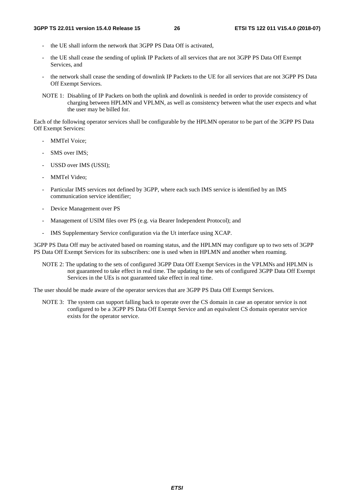- the UE shall inform the network that 3GPP PS Data Off is activated.
- the UE shall cease the sending of uplink IP Packets of all services that are not 3GPP PS Data Off Exempt Services, and
- the network shall cease the sending of downlink IP Packets to the UE for all services that are not 3GPP PS Data Off Exempt Services.
- NOTE 1: Disabling of IP Packets on both the uplink and downlink is needed in order to provide consistency of charging between HPLMN and VPLMN, as well as consistency between what the user expects and what the user may be billed for.

Each of the following operator services shall be configurable by the HPLMN operator to be part of the 3GPP PS Data Off Exempt Services:

- MMTel Voice:
- SMS over IMS:
- USSD over IMS (USSI);
- MMTel Video:
- Particular IMS services not defined by 3GPP, where each such IMS service is identified by an IMS communication service identifier;
- Device Management over PS
- Management of USIM files over PS (e.g. via Bearer Independent Protocol); and
- IMS Supplementary Service configuration via the Ut interface using XCAP.

3GPP PS Data Off may be activated based on roaming status, and the HPLMN may configure up to two sets of 3GPP PS Data Off Exempt Services for its subscribers: one is used when in HPLMN and another when roaming.

NOTE 2: The updating to the sets of configured 3GPP Data Off Exempt Services in the VPLMNs and HPLMN is not guaranteed to take effect in real time. The updating to the sets of configured 3GPP Data Off Exempt Services in the UEs is not guaranteed take effect in real time.

The user should be made aware of the operator services that are 3GPP PS Data Off Exempt Services.

NOTE 3: The system can support falling back to operate over the CS domain in case an operator service is not configured to be a 3GPP PS Data Off Exempt Service and an equivalent CS domain operator service exists for the operator service.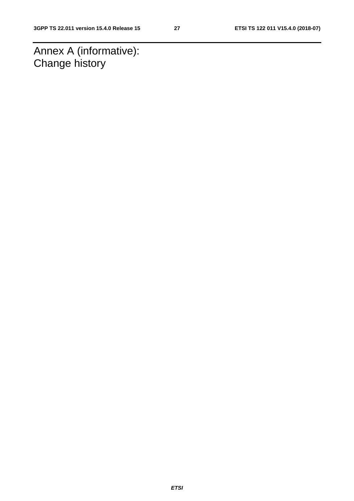Annex A (informative): Change history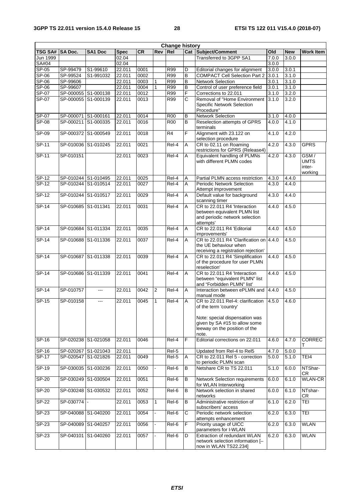| <b>Change history</b> |                     |                     |             |           |                |                |                |                                                                |       |            |                     |
|-----------------------|---------------------|---------------------|-------------|-----------|----------------|----------------|----------------|----------------------------------------------------------------|-------|------------|---------------------|
| <b>TSG SA#</b>        | <b>SA Doc.</b>      | SA1 Doc             | <b>Spec</b> | <b>CR</b> | Rev Rel        |                |                | Cat Subject/Comment                                            | Old   | <b>New</b> | <b>Work Item</b>    |
| Jun 1999              |                     |                     | 02.04       |           |                |                |                | Transferred to 3GPP SA1                                        | 7.0.0 | 3.0.0      |                     |
| SA#04                 |                     |                     | 02.04       |           |                |                |                |                                                                | 3.0.0 |            |                     |
| SP-05                 | SP-99479            | S1-99610            | 22.011      | 0001      |                | <b>R99</b>     | D              | Editorial changes for alignment                                | 3.0.0 | 3.0.1      |                     |
| $SP-06$               | SP-99524            | S1-991032           | 22.011      | 0002      |                | R99            | $\overline{B}$ | <b>COMPACT Cell Selection Part 2</b>                           | 3.0.1 | 3.1.0      |                     |
| $SP-06$               | SP-99606            |                     | 22.011      | 0003      | 1              | <b>R99</b>     | $\sf B$        | Network Selection                                              | 3.0.1 | 3.1.0      |                     |
| SP-06                 | SP-99607            |                     | 22.011      | 0004      | 1              | <b>R99</b>     | $\overline{B}$ | Control of user preference field                               | 3.0.1 | 3.1.0      |                     |
| $SP-07$               | SP-000055 S1-000138 |                     | 22.011      | 0012      |                | <b>R99</b>     | F              | Corrections to 22.011                                          | 3.1.0 | 3.2.0      |                     |
| $SP-07$               | SP-000055           | S1-000139           | 22.011      | 0013      |                | R99            | C              | Removal of "Home Environment                                   | 3.1.0 | 3.2.0      |                     |
|                       |                     |                     |             |           |                |                |                | <b>Specific Network Selection</b><br>Procedure"                |       |            |                     |
| SP-07                 | SP-000071 S1-000161 |                     | 22.011      | 0014      |                | <b>R00</b>     | B              | <b>Network Selection</b>                                       | 3.1.0 | 4.0.0      |                     |
| <b>SP-08</b>          | SP-000211 S1-000335 |                     | 22.011      | 0016      |                | <b>R00</b>     | B              | Reselection attempts of GPRS                                   | 4.0.0 | 4.1.0      |                     |
|                       |                     |                     |             |           |                |                |                | terminals                                                      |       |            |                     |
| SP-09                 | SP-000372 S1-000549 |                     | 22.011      | 0018      |                | R <sub>4</sub> | F              | Alignment with 23.122 on                                       | 4.1.0 | 4.2.0      |                     |
|                       |                     |                     |             |           |                |                |                | selection procedure                                            |       |            |                     |
| $SP-11$               | SP-010036 S1-010245 |                     | 22.011      | 0021      |                | Rel-4          | Α              | CR to 02.11 on Roaming                                         | 4.2.0 | 4.3.0      | <b>GPRS</b>         |
|                       |                     |                     |             |           |                |                |                | restrictions for GPRS (Release4)                               |       |            |                     |
| $SP-11$               | SP-010151           |                     | 22.011      | 0023      |                | Rel-4          | A              | Equivalent handling of PLMNs<br>with different PLMN codes      | 4.2.0 | 4.3.0      | GSM/<br><b>UMTS</b> |
|                       |                     |                     |             |           |                |                |                |                                                                |       |            | inter-              |
|                       |                     |                     |             |           |                |                |                |                                                                |       |            | working             |
| SP-12                 | SP-010244 S1-010495 |                     | 22.011      | 0025      |                | Rel-4          | Α              | Partial PLMN access restriction                                | 4.3.0 | 4.4.0      |                     |
| $SP-12$               |                     | SP-010244 S1-010514 | 22.011      | 0027      |                | Rel-4          | Α              | <b>Periodic Network Selection</b>                              | 4.3.0 | 4.4.0      |                     |
|                       |                     |                     |             |           |                |                |                | Attempt improvement                                            |       |            |                     |
| $SP-12$               | SP-010244 S1-010517 |                     | 22.011      | 0029      |                | Rel-4          | A              | Default value for background                                   | 4.3.0 | 4.4.0      |                     |
|                       |                     |                     |             |           |                |                |                | scanning timer                                                 |       |            |                     |
| $SP-14$               | SP-010685 S1-011341 |                     | 22.011      | 0031      |                | Rel-4          | A              | CR to 22.011 R4 'Interaction                                   | 4.4.0 | 4.5.0      |                     |
|                       |                     |                     |             |           |                |                |                | between equivalent PLMN list<br>and periodic network selection |       |            |                     |
|                       |                     |                     |             |           |                |                |                | attempts'                                                      |       |            |                     |
| $SP-14$               | SP-010684           | S1-011334           | 22.011      | 0035      |                | Rel-4          | Α              | CR to 22.011 R4 'Editorial                                     | 4.4.0 | 4.5.0      |                     |
|                       |                     |                     |             |           |                |                |                | improvements'                                                  |       |            |                     |
| <b>SP-14</b>          | SP-010688 S1-011336 |                     | 22.011      | 0037      |                | Rel-4          | A              | CR to 22.011 R4 'Clarification on 4.4.0                        |       | 4.5.0      |                     |
|                       |                     |                     |             |           |                |                |                | the UE behaviour when                                          |       |            |                     |
|                       |                     |                     |             |           |                |                |                | receiving a registration rejection'                            |       |            |                     |
| SP-14                 | SP-010687 S1-011338 |                     | 22.011      | 0039      |                | Rel-4          | Α              | CR to 22.011 R4 'Simplification                                | 4.4.0 | 4.5.0      |                     |
|                       |                     |                     |             |           |                |                |                | of the procedure for user PLMN<br>reselection'                 |       |            |                     |
| $SP-14$               | SP-010686 S1-011339 |                     | 22.011      | 0041      |                | $ReI-4$        | Α              | CR to 22.011 R4 'Interaction                                   | 4.4.0 | 4.5.0      |                     |
|                       |                     |                     |             |           |                |                |                | between "equivalent PLMN" list                                 |       |            |                     |
|                       |                     |                     |             |           |                |                |                | and "Forbidden PLMN" list'                                     |       |            |                     |
| $SP-14$               | SP-010757           | $\overline{a}$      | 22.011      | 0042      | $\overline{2}$ | Rel-4          | A              | Interaction between ePLMN and                                  | 4.4.0 | 4.5.0      |                     |
|                       |                     |                     |             |           |                |                |                | manual mode                                                    |       |            |                     |
| $SP-15$               | SP-010158           | ---                 | 22.011      | 0045      | $\mathbf{1}$   | $Rel-4$        | A              | CR to 22.011 Rel-4: clarification                              | 4.5.0 | 4.6.0      |                     |
|                       |                     |                     |             |           |                |                |                | of the term 'country'                                          |       |            |                     |
|                       |                     |                     |             |           |                |                |                | Note: special dispensation was                                 |       |            |                     |
|                       |                     |                     |             |           |                |                |                | given by SA #15 to allow some                                  |       |            |                     |
|                       |                     |                     |             |           |                |                |                | leeway on the position of the                                  |       |            |                     |
|                       |                     |                     |             |           |                |                |                | note.                                                          |       |            |                     |
| SP-16                 | SP-020238 S1-021058 |                     | 22.011      | 0046      |                | Rel-4          | F              | Editorial corrections on 22.011                                | 4.6.0 | 4.7.0      | <b>CORREC</b>       |
| SP-16                 |                     | SP-020267 S1-021043 | 22.011      |           |                | Rel-5          |                | Updated from Rel-4 to Rel5                                     | 4.7.0 | 5.0.0      |                     |
| $SP-17$               |                     | SP-020547 S1-021826 | 22.011      | 0049      |                | Rel-5          | Α              | CR to 22.011 Rel 5 - correction                                | 5.0.0 | 5.1.0      | TEI4                |
|                       |                     |                     |             |           |                |                |                | to periodic PLMN scan                                          |       |            |                     |
| SP-19                 | SP-030035 S1-030236 |                     | 22.011      | 0050      |                | Rel-6          | B              | Netshare CR to TS 22.011                                       | 5.1.0 | 6.0.0      | NTShar-             |
|                       |                     |                     |             |           |                |                |                |                                                                |       |            | CR                  |
| $SP-20$               |                     | SP-030249 S1-030504 | 22.011      | 0051      |                | Rel-6          | B              | <b>Network Selection requirements</b>                          | 6.0.0 | 6.1.0      | <b>WLAN-CR</b>      |
|                       |                     |                     |             |           |                |                |                | for WLAN Interworking                                          |       |            |                     |
| SP-20                 |                     | SP-030248 S1-030532 | 22.011      | 0052      |                | Rel-6          | B              | Network selection in shared                                    | 6.0.0 | 6.1.0      | NTshar-             |
| SP-22                 | SP-030774           |                     | 22.011      | 0053      | 1              | Rel-6          | B              | networks<br>Administrative restriction of                      | 6.1.0 | 6.2.0      | CR.<br>TEI          |
|                       |                     |                     |             |           |                |                |                | subscribers' access                                            |       |            |                     |
| SP-23                 |                     | SP-040088 S1-040200 | 22.011      | 0054      |                | Rel-6          | С              | Periodic network selection                                     | 6.2.0 | 6.3.0      | TEI                 |
|                       |                     |                     |             |           |                |                |                | attempts enhancement                                           |       |            |                     |
| SP-23                 | SP-040089 S1-040257 |                     | 22.011      | 0056      |                | Rel-6          | F              | Priority usage of UICC                                         | 6.2.0 | 6.3.0      | <b>WLAN</b>         |
|                       |                     |                     |             |           |                |                |                | parameters for I-WLAN                                          |       |            |                     |
| $SP-23$               | SP-040101 S1-040260 |                     | 22.011      | 0057      |                | Rel-6          | D              | Extraction of redundant WLAN                                   | 6.2.0 | 6.3.0      | <b>WLAN</b>         |
|                       |                     |                     |             |           |                |                |                | network selection information [-                               |       |            |                     |
|                       |                     |                     |             |           |                |                |                | now in WLAN TS22.234]                                          |       |            |                     |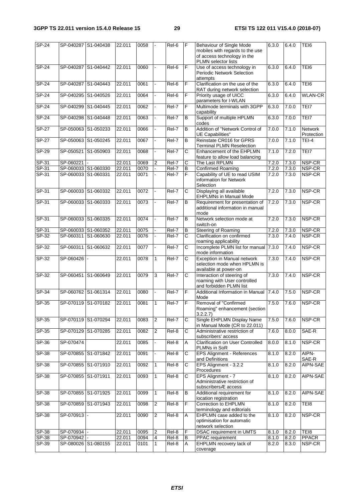| $SP-24$ |             | SP-040287 S1-040438 | 22.011 | 0058 |                         | Rel-6             | F              | Behaviour of Single Mode<br>mobiles with regards to the use<br>of access technology in the<br><b>PLMN</b> selector lists | 6.3.0 | 6.4.0 | TEI6                         |
|---------|-------------|---------------------|--------|------|-------------------------|-------------------|----------------|--------------------------------------------------------------------------------------------------------------------------|-------|-------|------------------------------|
| $SP-24$ |             | SP-040287 S1-040442 | 22.011 | 0060 |                         | Rel-6             | F              | Use of access technology in<br>Periodic Network Selection<br>attempts                                                    | 6.3.0 | 6.4.0 | TEI6                         |
| SP-24   |             | SP-040287 S1-040443 | 22.011 | 0061 |                         | Rel-6             | F              | Clarification on the use of the<br>RAT during network selection                                                          | 6.3.0 | 6.4.0 | TEI6                         |
| $SP-24$ |             | SP-040295 S1-040526 | 22.011 | 0064 |                         | Rel-6             | F              | Priority usage of UICC<br>parameters for I-WLAN                                                                          | 6.3.0 | 6.4.0 | <b>WLAN-CR</b>               |
| $SP-24$ | SP-040299   | S1-040445           | 22.011 | 0062 |                         | Rel-7             | F.             | Multimode terminals with 3GPP<br>capability                                                                              | 6.3.0 | 7.0.0 | TEI7                         |
| SP-24   | SP-040298   | S1-040448           | 22.011 | 0063 |                         | Rel-7             | B              | Support of multiple HPLMN<br>codes                                                                                       | 6.3.0 | 7.0.0 | TEI7                         |
| $SP-27$ | SP-050063   | S1-050233           | 22.011 | 0066 |                         | Rel-7             | $\overline{B}$ | Addition of "Network Control of<br>UE Capabilities"                                                                      | 7.0.0 | 7.1.0 | <b>Network</b><br>Protection |
| $SP-27$ |             | SP-050063 S1-050245 | 22.011 | 0067 |                         | Rel-7             | B              | Reinstate CR016 for GPRS<br><b>Terminal PLMN Reselection</b>                                                             | 7.0.0 | 7.1.0 | $TEI-4$                      |
| $SP-29$ |             | SP-050521 S1-050903 | 22.011 | 0068 |                         | Rel-7             | C              | Enhancement of the EHPLMN<br>feature to allow load balancing                                                             | 7.1.0 | 7.2.0 | TEI7                         |
| SP-31   | SP-060221   |                     | 22.011 | 0069 | 2                       | Rel-7             | $\overline{c}$ | The Last RPLMN                                                                                                           | 7.2.0 | 7.3.0 | NSP-CR                       |
| SP-31   |             | SP-060033 S1-060330 | 22.011 | 0070 |                         | Rel-7             | в              | <b>Confirmed Roaming</b>                                                                                                 | 7.2.0 | 7.3.0 | NSP-CR                       |
| $SP-31$ |             | SP-060033 S1-060331 | 22.011 | 0071 |                         | Rel-7             | F              | Capability of UE to read USIM                                                                                            | 7.2.0 | 7.3.0 | NSP-CR                       |
|         |             |                     |        |      |                         |                   |                | information for Network<br>Selection                                                                                     |       |       |                              |
| SP-31   |             | SP-060033 S1-060332 | 22.011 | 0072 |                         | Rel-7             | C              | Displaying all available<br><b>EHPLMNs in Manual Mode</b>                                                                | 7.2.0 | 7.3.0 | NSP-CR                       |
| $SP-31$ |             | SP-060033 S1-060333 | 22.011 | 0073 |                         | Rel-7             | B              | Requirement for presentation of<br>additional information in manual<br>mode                                              | 7.2.0 | 7.3.0 | NSP-CR                       |
| $SP-31$ |             | SP-060033 S1-060335 | 22.011 | 0074 |                         | Rel-7             | B              | Network selection mode at<br>switch-on                                                                                   | 7.2.0 | 7.3.0 | NSP-CR                       |
| SP-31   |             | SP-060033 S1-060352 | 22.011 | 0075 |                         | Rel-7             | B              | Steering of Roaming                                                                                                      | 7.2.0 | 7.3.0 | NSP-CR                       |
| $SP-32$ |             | SP-060311 S1-060630 | 22.011 | 0076 |                         | Rel-7             | C              | Clarification on confirmed<br>roaming applicability                                                                      | 7.3.0 | 7.4.0 | NSP-CR                       |
| $SP-32$ | SP-060311   | S1-060632           | 22.011 | 0077 |                         | Rel-7             | C              | Incomplete PLMN list for manual<br>mode information                                                                      | 7.3.0 | 7.4.0 | NSP-CR                       |
| SP-32   | SP-060426   |                     | 22.011 | 0078 | $\mathbf{1}$            | Rel-7             | C              | <b>Exception in Manual network</b><br>selection mode when HPLMN is<br>available at power-on                              | 7.3.0 | 7.4.0 | NSP-CR                       |
| $SP-32$ |             | SP-060451 S1-060649 | 22.011 | 0079 | З                       | $ReI-7$           | $\overline{C}$ | Interaction of steering of<br>roaming with User controlled<br>and forbidden PLMN list                                    | 7.3.0 | 7.4.0 | NSP-CR                       |
| $SP-34$ |             | SP-060762 S1-061314 | 22.011 | 0080 |                         | Rel-7             | $\overline{F}$ | Additional Information in Manual<br>Mode                                                                                 | 7.4.0 | 7.5.0 | NSP-CR                       |
| SP-35   |             | SP-070119 S1-070182 | 22.011 | 0081 | 1                       | Rel-7             | F              | Removal of "Confirmed<br>Roaming" enhancement (section<br>3.2.2.7                                                        | 7.5.0 | 7.6.0 | NSP-CR                       |
| SP-35   |             | SP-070119 S1-070294 | 22.011 | 0083 | 2                       | Rel-7             | C              | Single EHPLMN Display Name<br>in Manual Mode (CR to 22.011)                                                              | 7.5.0 | 7.6.0 | NSP-CR                       |
| $SP-35$ |             | SP-070129 S1-070285 | 22.011 | 0082 | $\overline{\mathbf{c}}$ | $Rel-8$           | С              | Administrative restriction of<br>subscribers' access                                                                     | 7.6.0 | 8.0.0 | SAE-R                        |
| SP-36   | SP-070474   |                     | 22.011 | 0085 |                         | Rel-8             | Α              | <b>Clarification on User Controlled</b><br>PLMNs in SoR                                                                  | 8.0.0 | 8.1.0 | NSP-CR                       |
| $SP-38$ |             | SP-070855 S1-071842 | 22.011 | 0091 |                         | Rel-8             | C              | <b>EPS Alignment - References</b><br>and Definitions                                                                     | 8.1.0 | 8.2.0 | AIPN-<br>SAE-R               |
| $SP-38$ |             | SP-070855 S1-071910 | 22.011 | 0092 | $\mathbf{1}$            | Rel-8             | C              | EPS Alignment - 3.2.2<br>Procedures                                                                                      | 8.1.0 | 8.2.0 | AIPN-SAE                     |
| SP-38   |             | SP-070855 S1-071911 | 22.011 | 0093 | $\mathbf{1}$            | Rel-8             | С              | EPS Alignment - 7<br>Administrative restriction of<br>subscribersÆ access                                                | 8.1.0 | 8.2.0 | AIPN-SAE                     |
| SP-38   |             | SP-070855 S1-071925 | 22.011 | 0099 | 1                       | Rel-8             | В              | Additional requirement for<br>location registration                                                                      | 8.1.0 | 8.2.0 | AIPN-SAE                     |
| $SP-38$ |             | SP-070859 S1-071943 | 22.011 | 0098 | $\overline{2}$          | Rel-8             | F              | <b>Correction to EHPLMN</b><br>terminology and editorials                                                                | 8.1.0 | 8.2.0 | TEI8                         |
| $SP-38$ | SP-070913 - |                     | 22.011 | 0090 | $\overline{2}$          | Rel-8             | Α              | EHPLMN case added to the<br>optimisation for automatic                                                                   | 8.1.0 | 8.2.0 | NSP-CR                       |
|         |             |                     |        |      |                         |                   |                | network selection                                                                                                        |       |       |                              |
| $SP-38$ | SP-070934   |                     | 22.011 | 0095 | $\overline{2}$          | Rel-8             | F              | DSAC requirement in UMTS                                                                                                 | 8.1.0 | 8.2.0 | TEI8                         |
| SP-38   | SP-070942   |                     | 22.011 | 0094 | 4                       | Rel-8             | В              | PPAC requirement                                                                                                         | 8.1.0 | 8.2.0 | <b>PPACR</b>                 |
| SP-39   |             | SP-080026 S1-080155 | 22.011 | 0101 | $\mathbf{1}$            | $\overline{Rel8}$ | Α              | EHPLMN recovery lack of<br>coverage                                                                                      | 8.2.0 | 8.3.0 | NSP-CR                       |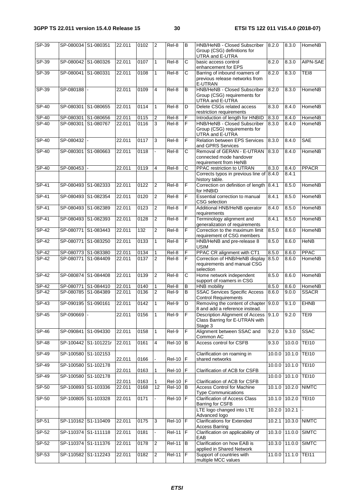| $SP-39$      |             | SP-080034 S1-080351  | 22.011 | 0102 | $\overline{2}$ | Rel-8               | B   | HNB/HeNB - Closed Subscriber<br>Group (CSG) definitions for<br>UTRA and E-UTRA     | 8.2.0  | 8.3.0           | HomeNB           |
|--------------|-------------|----------------------|--------|------|----------------|---------------------|-----|------------------------------------------------------------------------------------|--------|-----------------|------------------|
| SP-39        |             | SP-080042 S1-080326  | 22.011 | 0107 | $\mathbf{1}$   | Rel-8               | С   | basic access control<br>enhancement for EPS                                        | 8.2.0  | 8.3.0           | AIPN-SAE         |
| $SP-39$      |             | SP-080041 S1-080331  | 22.011 | 0108 | $\mathbf{1}$   | Rel-8               | C   | Barring of inbound roamers of<br>previous release networks from<br>E-UTRAN         | 8.2.0  | 8.3.0           | TE <sub>18</sub> |
| SP-39        | SP-080188 - |                      | 22.011 | 0109 | 4              | Rel-8               | B   | HNB/HeNB - Closed Subscriber<br>Group (CSG) requirements for<br>UTRA and E-UTRA    | 8.2.0  | 8.3.0           | HomeNB           |
| <b>SP-40</b> | SP-080301   | S1-080655            | 22.011 | 0114 | $\mathbf{1}$   | Rel-8               | D   | Delete CSGs related access<br>restriction requirements                             | 8.3.0  | 8.4.0           | HomeNB           |
| SP-40        |             | SP-080301 S1-080656  | 22.011 | 0115 | $\overline{2}$ | Rel-8               | F   | Introduction of length for HNBID                                                   | 8.3.0  | 8.4.0           | HomeNB           |
| SP-40        |             | SP-080301 S1-080767  | 22.011 | 0116 | 3              | Rel-8               | F   | HNB/HeNB - Closed Subscriber<br>Group (CSG) requirements for<br>UTRA and E-UTRA    | 8.3.0  | 8.4.0           | HomeNB           |
| SP-40        | SP-080432 - |                      | 22.011 | 0117 | ω              | $\overline{Rel}$ -8 | F   | <b>Relation between EPS Services</b><br>and GPRS Services                          | 8.3.0  | 8.4.0           | <b>SAE</b>       |
| SP-40        |             | SP-080301 S1-080663  | 22.011 | 0118 |                | Rel-8               | С   | Removal of GERAN - E-UTRAN<br>connected mode handover<br>requirement from HeNB     | 8.3.0  | 8.4.0           | HomeNB           |
| SP-40        | SP-080453 - |                      | 22.011 | 0119 | 4              | Rel-8               | С   | PPAC restriction to UTRAN                                                          | 8.3.0  | 8.4.0           | <b>PPACR</b>     |
|              |             |                      |        |      |                |                     |     | Corrects typos in previous line of 8.4.0<br>history table.                         |        | 8.4.1           |                  |
| $SP-41$      |             | SP-080493 S1-082333  | 22.011 | 0122 | $\overline{2}$ | Rel-8               | F   | Correction on definition of length 8.4.1<br>for HNBID                              |        | 8.5.0           | <b>HomeNB</b>    |
| $SP-41$      |             | SP-080493 S1-082354  | 22.011 | 0120 | $\overline{2}$ | Rel-8               | F   | Essential correction to manual<br><b>CSG</b> selection                             | 8.4.1  | 8.5.0           | <b>HomeNB</b>    |
| <b>SP-41</b> |             | SP-080493 S1-082389  | 22.011 | 0123 | $\overline{2}$ | Rel-8               | F   | Additional HNB/HeNB operator<br>requirements                                       | 8.4.0  | 8.5.0           | <b>HomeNB</b>    |
| $SP-41$      |             | SP-080493 S1-082393  | 22.011 | 0128 | 2              | Rel-8               | F   | Terminology alignment and<br>generalization of requirements                        | 8.4.1  | 8.5.0           | <b>HomeNB</b>    |
| $SP-42$      |             | SP-080771 S1-083443  | 22.011 | 132  | $\overline{2}$ | Rel-8               | F   | Correction to the maximum limit<br>requirement of CSG members                      | 8.5.0  | 8.6.0           | <b>HomeNB</b>    |
| $SP-42$      |             | SP-080771 S1-083250  | 22.011 | 0133 | $\mathbf{1}$   | Rel-8               | F   | HNB/HeNB and pre-release 8<br><b>USIM</b>                                          | 8.5.0  | 8.6.0           | <b>HeNB</b>      |
| SP-42        |             | SP-080773 S1-083380  | 22.011 | 0134 | 1              | Rel-8               | F   | PPAC CR alignment with CT1                                                         | 8.5.0  | 8.6.0           | <b>PPAC</b>      |
| SP-42        | SP-080771   | S1-084409            | 22.011 | 0137 | $\overline{2}$ | Rel-8               | F   | Correction of HNB/HeNB display<br>requirements and manual CSG<br>selection         | 8.5.0  | 8.6.0           | HomeNB           |
| $SP-42$      |             | SP-080874 S1-084408  | 22.011 | 0139 | $\overline{2}$ | Rel-8               | Ć   | Home network independent<br>support of roamers in CSG                              | 8.5.0  | 8.6.0           | <b>HomeNB</b>    |
| SP-42        | SP-080771   | S1-084410            | 22.011 | 0140 | 1              | Rel-8               | B   | <b>HNB</b> mobility                                                                | 8.5.0  | 8.6.0           | HomeNB           |
| SP-42        |             | SP-080785 S1-084389  | 22.011 | 0136 | 2              | Rel-9               | В   | <b>SSAC Services Specific Access</b><br><b>Control Requirements</b>                | 8.6.0  | 9.0.0           | <b>SSACR</b>     |
| $SP-43$      |             | SP-090195 S1-090161  | 22.011 | 0142 | $\mathbf{1}$   | $ReI-9$             | D   | Removing the content of chapter 9.0.0<br>8 and add a reference instead.            |        | 9.1.0           | <b>EHNB</b>      |
| SP-45        | SP-090669 - |                      | 22.011 | 0156 | 1              | Rel-9               | F   | Description Alignment of Access 9.1.0<br>Class Barring for E-UTRAN with<br>Stage 3 |        | 9.2.0           | TEI9             |
| $SP-46$      |             | SP-090841 S1-094330  | 22.011 | 0158 | $\mathbf{1}$   | Rel-9               | F   | Alignment between SSAC and<br>Common AC                                            | 9.2.0  | 9.3.0           | <b>SSAC</b>      |
| $SP-48$      |             | SP-100442 S1-101221r | 22.011 | 0161 | 4              | $Rel-10$            | B   | Access control for CSFB                                                            | 9.3.0  | 10.0.0          | <b>TEI10</b>     |
| SP-49        |             | SP-100580 S1-102153  | 22.011 | 0166 |                | $Rel-10$ $F$        |     | Clarification on roaming in<br>shared networks                                     |        | $10.0.0$ 10.1.0 | <b>TEI10</b>     |
| $SP-49$      |             | SP-100580 S1-102178  | 22.011 | 0163 | $\mathbf{1}$   | <b>Rel-10</b>       | IF  | Clarification of ACB for CSFB                                                      |        | $10.0.0$ 10.1.0 | <b>TEI10</b>     |
| $SP-49$      |             | SP-100580 S1-102178  | 22.011 | 0163 | 1              | <b>Rel-10</b>       | F.  | Clarification of ACB for CSFB                                                      |        | 10.0.0 10.1.0   | <b>TEI10</b>     |
| $SP-50$      |             | SP-100893 S1-103336  | 22.011 | 0168 | 12             | <b>Rel-10</b>       | B   | <b>Access Control for Machine</b><br><b>Type Communications</b>                    |        | 10.1.0 10.2.0   | <b>NIMTC</b>     |
| $SP-50$      |             | SP-100805 S1-103328  | 22.011 | 0171 |                | <b>Rel-10</b>       | IF  | <b>Clarification of Access Class</b><br>Barring for CSFB                           |        | 10.1.0 10.2.0   | <b>TEI10</b>     |
|              |             |                      |        |      |                |                     |     | LTE logo changed into LTE<br>Advanced logo                                         |        | 10.2.0 10.2.1   |                  |
| $SP-51$      |             | SP-110162 S1-110409  | 22.011 | 0175 | c)             | $Rel-10$ $F$        |     | <b>Clarifications for Extended</b><br><b>Access Barring</b>                        | 10.2.1 | 10.3.0          | <b>NIMTC</b>     |
| SP-52        |             | SP-110374 S1-111118  | 22.011 | 0181 |                | <b>Rel-11</b>       | IF  | Clarification on applicability of<br>EAB                                           |        | 10.3.0 11.0.0   | <b>SIMTC</b>     |
| SP-52        |             | SP-110374 S1-111376  | 22.011 | 0178 | 2              | $\overline{Rel11}$  | Iв. | Clarification on how EAB is<br>applied in Shared Network                           |        | 10.3.0 11.0.0   | <b>SIMTC</b>     |
| $SP-53$      |             | SP-110582 S1-112243  | 22.011 | 0182 | 2              | $Rel-11$ F          |     | Support of countries with<br>multiple MCC values                                   |        | 11.0.0 11.1.0   | <b>TEI11</b>     |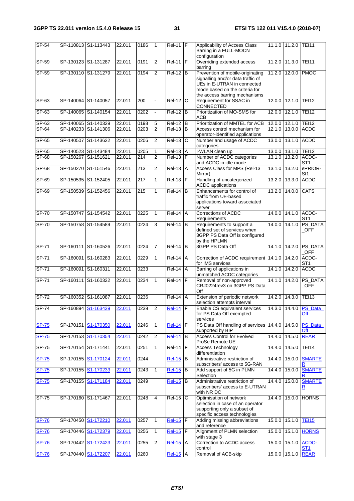| $SP-54$      |                     | SP-110813 S1-113443 | 22.011 | 0186             | 1              | $Rel-11$ F          |                | Applicability of Access Class<br>Barring in a FULL-MOCN<br>configuration                                                                                                |        | 11.1.0 11.2.0       | <b>TEI11</b>                 |
|--------------|---------------------|---------------------|--------|------------------|----------------|---------------------|----------------|-------------------------------------------------------------------------------------------------------------------------------------------------------------------------|--------|---------------------|------------------------------|
| $SP-59$      | SP-130123 S1-131287 |                     | 22.011 | 0191             | $\overline{2}$ | $ReI-11$ $F$        |                | Overriding extended access<br>barring                                                                                                                                   | 11.2.0 | 11.3.0              | <b>TEI11</b>                 |
| $SP-59$      | SP-130110 S1-131279 |                     | 22.011 | 0194             | $\overline{2}$ | $Rel-12$ B          |                | Prevention of mobile-originating<br>signalling and/or data traffic of<br>UEs in E-UTRAN in connected<br>mode based on the criteria for<br>the access barring mechanisms | 11.2.0 | 12.0.0 PMOC         |                              |
| $SP-63$      | SP-140064 S1-140057 |                     | 22.011 | 200              |                | $Rel-12$ C          |                | Requirement for SSAC in<br>CONNECTED                                                                                                                                    | 12.0.0 | 12.1.0 TEI12        |                              |
| $SP-63$      | SP-140065 S1-140154 |                     | 22.011 | 0202             |                | $Rel-12$ B          |                | Prioritization of MO-SMS for<br><b>ACB</b>                                                                                                                              | 12.0.0 | 12.10               | <b>TEI12</b>                 |
| SP-63        | SP-140065 S1-140329 |                     | 22.011 | 0198             | 5              | <b>Rel-12</b>       | B              | Prioritization of MMTEL for ACB                                                                                                                                         |        | 12.0.0 12.1.0 TEI12 |                              |
| $SP-64$      | SP-140233 S1-141306 |                     | 22.011 | 0203             | $\overline{2}$ | $Rel-13$ $B$        |                | Access control mechanism for<br>operator-identified applications                                                                                                        |        | 12.1.0 13.0.0       | <b>ACDC</b>                  |
| $SP-65$      | SP-140507 S1-143622 |                     | 22.011 | 0206             | $\overline{2}$ | $Rel-13$            | $\overline{C}$ | Number and usage of ACDC<br>categories                                                                                                                                  | 13.0.0 | 13.1.0              | <b>ACDC</b>                  |
| $SP-65$      | SP-140523 S1-143484 |                     | 22.011 | 0205             | 1              | <b>Rel-13</b>       | Α              | I-WLAN clean up                                                                                                                                                         |        | 13.0.0 13.1.0 TEI12 |                              |
| SP-68        | SP-150267 S1-151621 |                     | 22.011 | 214              | $\overline{c}$ | $ReI-13$ F          |                | Number of ACDC categories<br>and ACDC in idle mode                                                                                                                      |        | 13.1.0 13.2.0       | ACDC-<br>ST <sub>1</sub>     |
| <b>SP-68</b> | SP-150270 S1-151546 |                     | 22.011 | $\overline{213}$ | $\overline{2}$ | $Rel-13$            | A              | Access Class for MPS (Rel-13<br>Mirror)                                                                                                                                 | 13.1.0 | 13.2.0              | ePRIOR-<br>St1               |
| $SP-69$      | SP-150535 S1-152405 |                     | 22.011 | 217              | $\mathbf{1}$   | <b>Rel-13</b>       | F              | Handling of uncategorized<br><b>ACDC</b> applications                                                                                                                   | 13.2.0 | 13.3.0              | <b>ACDC</b>                  |
| $SP-69$      | SP-150539           | S1-152456           | 22.011 | 215              | 1              | $Rel-14$            | B              | Enhancements for control of<br>traffic from UE-based<br>applications toward associated<br>server                                                                        | 13.2.0 | 14.0.0              | <b>CATS</b>                  |
| <b>SP-70</b> | SP-150747 S1-154542 |                     | 22.011 | 0225             | $\mathbf{1}$   | $\overline{Rel.14}$ | A              | Corrections of ACDC<br>Requirements                                                                                                                                     | 14.0.0 | 14.1.0              | ACDC-<br>ST <sub>1</sub>     |
| $SP-70$      | SP-150758 S1-154589 |                     | 22.011 | 0224             | $\overline{3}$ | $ReI-14$ B          |                | Requirements to support a<br>defined set of services when<br>3GPP PS Data Off is configured<br>by the HPLMN                                                             |        | 14.0.0 14.1.0       | PS_DATA<br>$_{\mathsf{OFF}}$ |
| SP-71        | SP-160111 S1-160526 |                     | 22.011 | 0224             | $\overline{7}$ | $Rel-14$ B          |                | 3GPP PS Data Off                                                                                                                                                        | 14.1.0 | 14.2.0              | PS_DATA<br><b>OFF</b>        |
| SP-71        | SP-160091 S1-160283 |                     | 22.011 | 0229             | $\mathbf{1}$   | <b>Rel-14</b>       | A              | Correction of ACDC requirement 14.1.0<br>for IMS services                                                                                                               |        | 14.2.0              | ACDC-<br>ST <sub>1</sub>     |
| SP-71        | SP-160091 S1-160311 |                     | 22.011 | 0233             |                | $Rel-14$            | $\overline{A}$ | Barring of applications in<br>unmatched ACDC categories                                                                                                                 | 14.1.0 | 14.2.0              | <b>ACDC</b>                  |
| $SP-71$      |                     | SP-160111 S1-160322 | 22.011 | 0234             | $\mathbf{1}$   | <b>Rel-14</b>       | ΙF             | Removal of non-approved<br>CR#0224rev3 on 3GPP PS Data<br>Off                                                                                                           | 14.1.0 | 14.2.0              | PS_DATA<br><b>OFF</b>        |
| $SP-72$      | SP-160352 S1-161087 |                     | 22.011 | 0236             |                | $ReI-14$ A          |                | Extension of periodic network<br>selection attempts interval                                                                                                            | 14.2.0 | 14.3.0              | <b>TEI13</b>                 |
| SP-74        | SP-160894 S1-163439 |                     | 22.011 | 0239             | $\overline{2}$ | $Rel-14$ F          |                | Enable CS equivalent services<br>for PS Data Off exempted<br>services                                                                                                   |        |                     | 14.3.0 14.4.0 PS Data<br>Off |
| <b>SP-75</b> | SP-170151 S1-170350 |                     | 22.011 | 0246             | $\mathbf{1}$   | <b>Rel-14</b>       | E              | PS Data Off handling of services 14.4.0 14.5.0<br>supported by BIP                                                                                                      |        |                     | PS_Data<br>Off               |
| <b>SP-75</b> | SP-170153 S1-170354 |                     | 22.011 | 0242             | $\overline{2}$ | <b>Rel-14</b>       | B              | <b>Access Control for Evolved</b><br>ProSe Remote UE                                                                                                                    | 14.4.0 | 14.5.0              | <b>REAR</b>                  |
| $SP-75$      | SP-170154 S1-171441 |                     | 22.011 | 0251             | $\mathbf{1}$   | $Rel-14$ $F$        |                | <b>Access Technology</b><br>differentiation                                                                                                                             |        | 14.4.0 14.5.0       | <b>TEI14</b>                 |
| <b>SP-75</b> |                     | SP-170155 S1-170124 | 22.011 | 0244             |                | <b>Rel-15</b>       | B              | Administrative restriction of<br>subscribers' access to 5G-RAN                                                                                                          |        | 14.4.0 15.0.0       | <b>SMARTE</b><br>R           |
| <b>SP-75</b> |                     | SP-170155 S1-170233 | 22.011 | 0243             | $\mathbf{1}$   | <b>Rel-15</b>       | $\mathsf B$    | Add support of 5G in PLMN<br>Selection                                                                                                                                  |        | 14.4.0 15.0.0       | <b>SMARTE</b>                |
| <b>SP-75</b> |                     | SP-170155 S1-171184 | 22.011 | 0249             |                | <b>Rel-15</b>       | B              | Administrative restriction of<br>subscribers' access to E-UTRAN<br>with NR DC                                                                                           | 14.4.0 | 15.0.0              | <b>SMARTE</b><br>$\mathbf R$ |
| SP-75        |                     | SP-170160 S1-171467 | 22.011 | 0248             | 4              | <b>Rel-15</b>       | C              | Optimisation of network<br>selection in case of an operator<br>supporting only a subset of<br>specific access technologies                                              |        | 14.4.0 15.0.0       | <b>HORNS</b>                 |
| <b>SP-76</b> | SP-170450 S1-172210 |                     | 22.011 | 0257             | $\mathbf{1}$   | <b>Rel-15</b>       | F              | Adding missing abbreviations<br>and reference                                                                                                                           |        | 15.0.0 15.1.0       | <b>TEI15</b>                 |
| <b>SP-76</b> | SP-170446 S1-172379 |                     | 22.011 | 0256             | $\mathbf{1}$   | $Rel-15$            | F              | Alignment of PLMN selection<br>with stage 3                                                                                                                             |        | 15.0.0 15.1.0       | <b>HORNS</b>                 |
| <b>SP-76</b> |                     | SP-170442 S1-172423 | 22.011 | 0255             | $\overline{2}$ | <b>Rel-15</b>       | $\overline{A}$ | Correction to ACDC access<br>control                                                                                                                                    |        | 15.0.0 15.1.0       | ACDC-<br>ST <sub>1</sub>     |
| <b>SP-76</b> | SP-170440 S1-172207 |                     | 22.011 | 0260             |                | <b>Rel-15</b>       | Α              | Removal of ACB-skip                                                                                                                                                     |        | 15.0.0 15.1.0 REAR  |                              |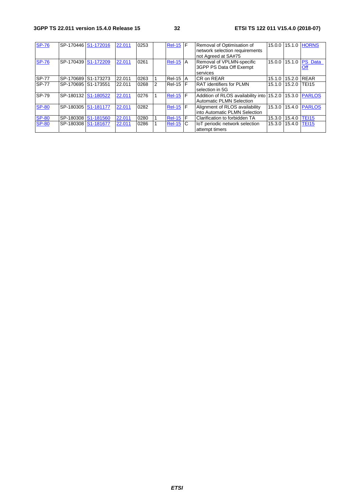| <b>SP-76</b> |                     | SP-170446 S1-172016 | 22.011 | 0253 |   | <b>Rel-15 F</b> |   | Removal of Optimisation of                              |               |               | 15.0.0 15.1.0 HORNS  |
|--------------|---------------------|---------------------|--------|------|---|-----------------|---|---------------------------------------------------------|---------------|---------------|----------------------|
|              |                     |                     |        |      |   |                 |   | network selection requirements                          |               |               |                      |
|              |                     |                     |        |      |   |                 |   | not Agreed at SA#75                                     |               |               |                      |
| <b>SP-76</b> | SP-170439 S1-172209 |                     | 22.011 | 0261 |   | $Rel-15$ A      |   | Removal of VPLMN-specific                               | 15.0.0 15.1.0 |               | <b>PS</b> Data       |
|              |                     |                     |        |      |   |                 |   | 3GPP PS Data Off Exempt                                 |               |               | Off                  |
|              |                     |                     |        |      |   |                 |   | services                                                |               |               |                      |
| <b>SP-77</b> |                     | SP-170689 S1-173273 | 22.011 | 0263 |   | $ReI-15$ A      |   | CR on REAR                                              | 15.1.0 15.2.0 |               | <b>REAR</b>          |
| <b>SP-77</b> | SP-170695 S1-173551 |                     | 22.011 | 0268 | 2 | $Rel-15$ F      |   | <b>RAT identifiers for PLMN</b>                         | 15.1.0 15.2.0 |               | TEI15                |
|              |                     |                     |        |      |   |                 |   | selection in 5G                                         |               |               |                      |
| SP-79        |                     | SP-180132 S1-180522 | 22.011 | 0276 |   | <b>Rel-15</b>   | F | Addition of RLOS availability into 15.2.0 15.3.0 PARLOS |               |               |                      |
|              |                     |                     |        |      |   |                 |   | <b>Automatic PLMN Selection</b>                         |               |               |                      |
| <b>SP-80</b> | SP-180305 S1-181177 |                     | 22.011 | 0282 |   | <b>Rel-15 F</b> |   | Alignment of RLOS availability                          |               |               | 15.3.0 15.4.0 PARLOS |
|              |                     |                     |        |      |   |                 |   | into Automatic PLMN Selection                           |               |               |                      |
| <b>SP-80</b> |                     | SP-180308 S1-181560 | 22.011 | 0280 |   | <b>Rel-15</b>   | F | Clarification to forbidden TA                           | 15.3.0        | 15.4.0        | <b>TEI15</b>         |
| <b>SP-80</b> |                     | SP-180308 S1-181677 | 22.011 | 0286 |   | $Rel-15$ C      |   | loT periodic network selection                          |               | 15.3.0 15.4.0 | <b>TEI15</b>         |
|              |                     |                     |        |      |   |                 |   | attempt timers                                          |               |               |                      |